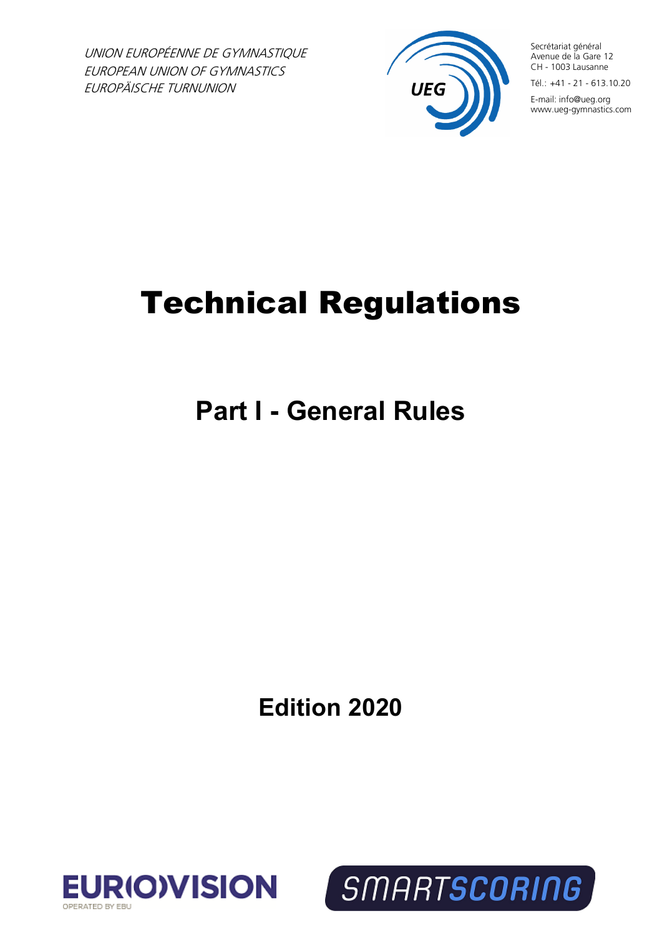UNION EUROPÉENNE DE GYMNASTIQUE EUROPEAN UNION OF GYMNASTICS EUROPÄISCHE TURNUNION



Secrétariat général Avenue de la Gare 12 CH - 1003 Lausanne

 $T$ él $\cdot$  +41 - 21 - 613.10.20 E-mail: info@ueg.org www.ueg-gymnastics.com

# Technical Regulations

**Part I - General Rules**

**Edition 2020**



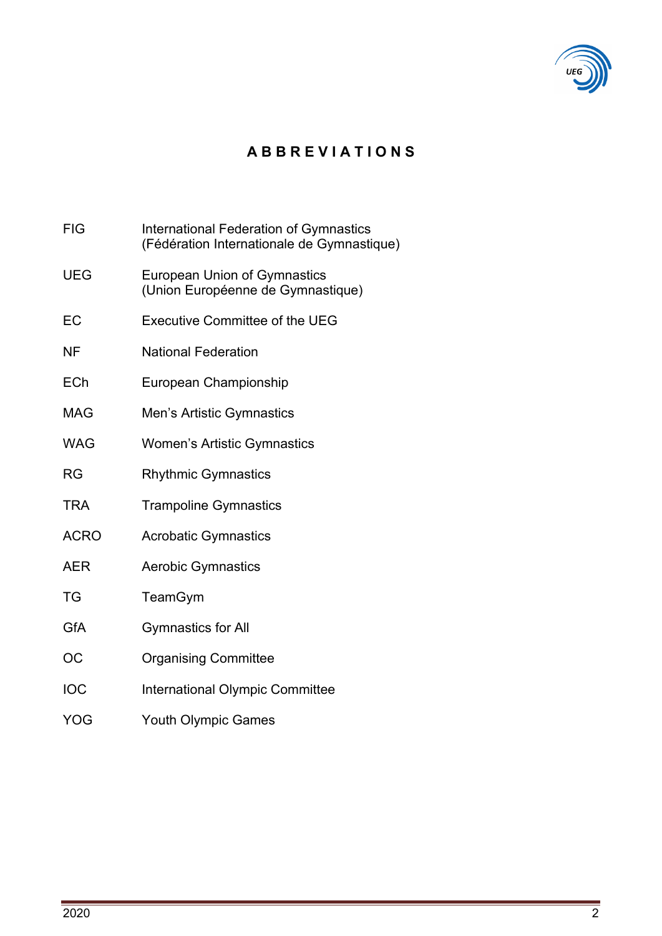

# **A B B R E V I A T I O N S**

FIG International Federation of Gymnastics (Fédération Internationale de Gymnastique) UEG European Union of Gymnastics (Union Européenne de Gymnastique) EC Executive Committee of the UEG NF National Federation ECh European Championship MAG Men's Artistic Gymnastics WAG Women's Artistic Gymnastics RG Rhythmic Gymnastics TRA Trampoline Gymnastics ACRO Acrobatic Gymnastics AER Aerobic Gymnastics TG TeamGym GfA Gymnastics for All OC Organising Committee IOC International Olympic Committee YOG Youth Olympic Games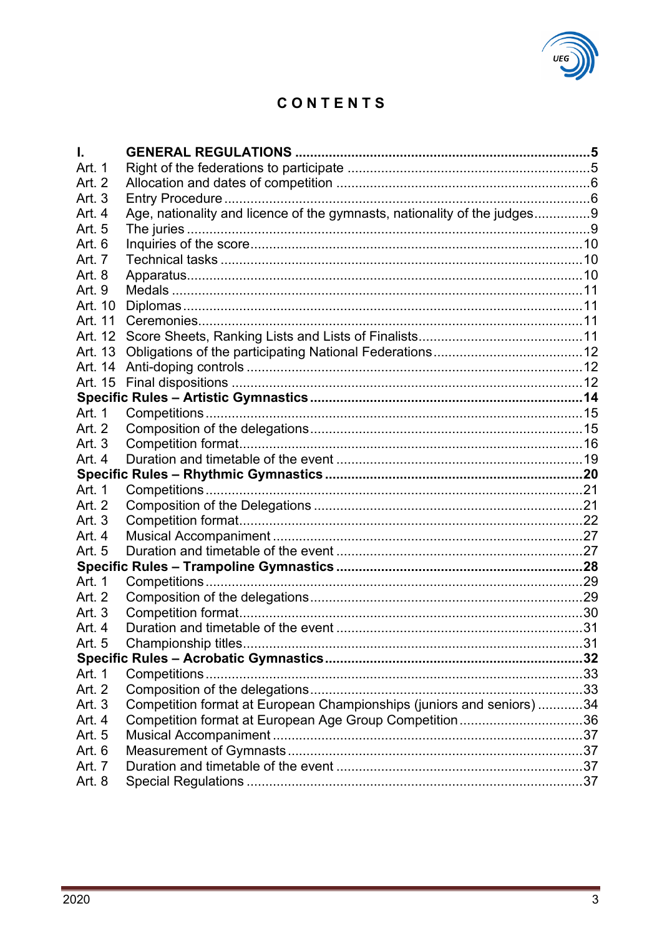# CONTENTS

| I.       |                                                                          |  |
|----------|--------------------------------------------------------------------------|--|
| Art. 1   |                                                                          |  |
| Art. 2   |                                                                          |  |
| Art. 3   |                                                                          |  |
| Art. 4   | Age, nationality and licence of the gymnasts, nationality of the judges9 |  |
| Art. 5   |                                                                          |  |
| Art. 6   |                                                                          |  |
| Art. 7   |                                                                          |  |
| Art. 8   |                                                                          |  |
| Art. 9   |                                                                          |  |
| Art. 10  |                                                                          |  |
| Art. 11  |                                                                          |  |
| Art. 12  |                                                                          |  |
|          |                                                                          |  |
| Art. 14  |                                                                          |  |
| Art. 15  |                                                                          |  |
|          |                                                                          |  |
| Art. 1   |                                                                          |  |
| Art. 2   |                                                                          |  |
| Art. $3$ |                                                                          |  |
| Art. $4$ |                                                                          |  |
|          |                                                                          |  |
| Art. 1   |                                                                          |  |
| Art. 2   |                                                                          |  |
| Art. 3   |                                                                          |  |
| Art. 4   |                                                                          |  |
| Art. 5   |                                                                          |  |
|          |                                                                          |  |
| Art. 1   |                                                                          |  |
| Art. 2   |                                                                          |  |
| Art. 3   |                                                                          |  |
| Art. 4   |                                                                          |  |
| Art. 5   |                                                                          |  |
|          |                                                                          |  |
| Art. 1   |                                                                          |  |
| Art. 2   |                                                                          |  |
| Art. 3   | Competition format at European Championships (juniors and seniors) 34    |  |
| Art. 4   | Competition format at European Age Group Competition36                   |  |
| Art. 5   |                                                                          |  |
| Art. 6   |                                                                          |  |
| Art. 7   |                                                                          |  |
| Art. 8   |                                                                          |  |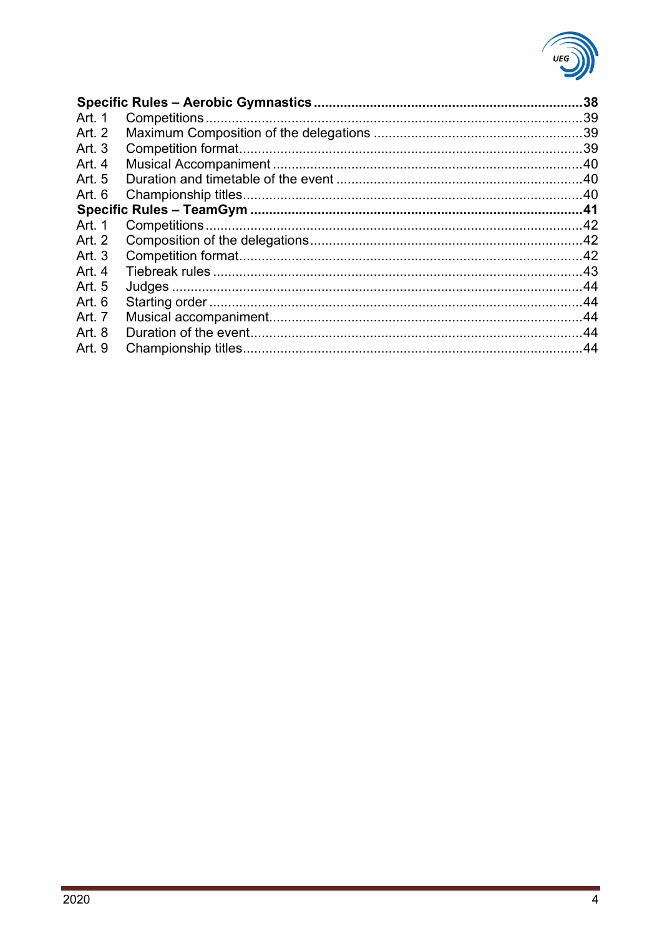

| .38 |
|-----|
|     |
|     |
|     |
|     |
|     |
|     |
|     |
|     |
|     |
|     |
|     |
|     |
|     |
|     |
|     |
|     |
|     |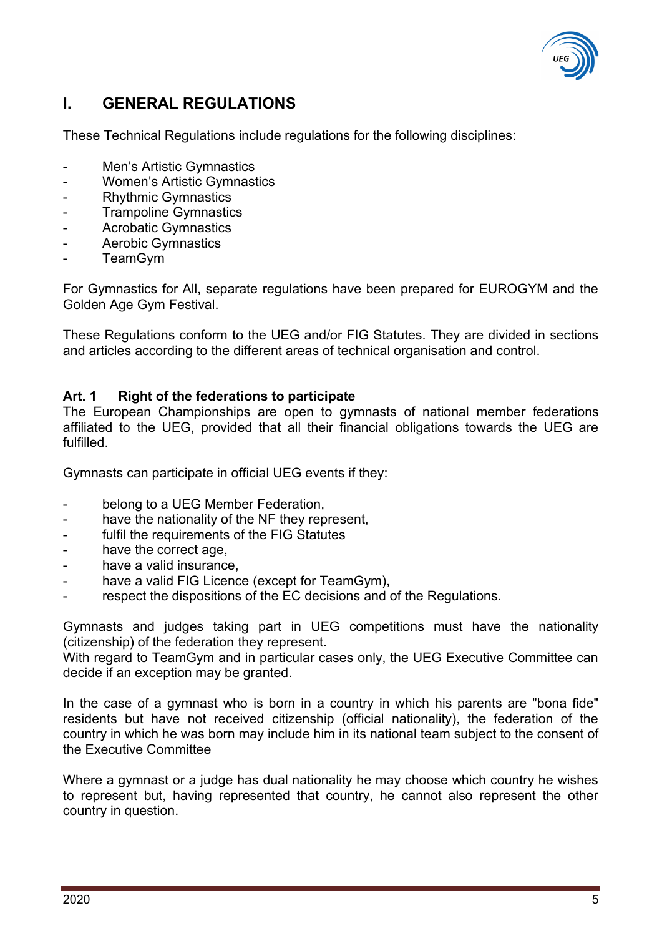

# <span id="page-4-0"></span>**I. GENERAL REGULATIONS**

These Technical Regulations include regulations for the following disciplines:

- Men's Artistic Gymnastics
- Women's Artistic Gymnastics
- Rhythmic Gymnastics
- **Trampoline Gymnastics**
- Acrobatic Gymnastics
- Aerobic Gymnastics
- **TeamGym**

For Gymnastics for All, separate regulations have been prepared for EUROGYM and the Golden Age Gym Festival.

These Regulations conform to the UEG and/or FIG Statutes. They are divided in sections and articles according to the different areas of technical organisation and control.

# <span id="page-4-1"></span>**Art. 1 Right of the federations to participate**

The European Championships are open to gymnasts of national member federations affiliated to the UEG, provided that all their financial obligations towards the UEG are fulfilled.

Gymnasts can participate in official UEG events if they:

- belong to a UEG Member Federation,
- have the nationality of the NF they represent,
- fulfil the requirements of the FIG Statutes
- have the correct age,
- have a valid insurance.
- have a valid FIG Licence (except for TeamGym),
- respect the dispositions of the EC decisions and of the Regulations.

Gymnasts and judges taking part in UEG competitions must have the nationality (citizenship) of the federation they represent.

With regard to TeamGym and in particular cases only, the UEG Executive Committee can decide if an exception may be granted.

In the case of a gymnast who is born in a country in which his parents are "bona fide" residents but have not received citizenship (official nationality), the federation of the country in which he was born may include him in its national team subject to the consent of the Executive Committee

Where a gymnast or a judge has dual nationality he may choose which country he wishes to represent but, having represented that country, he cannot also represent the other country in question.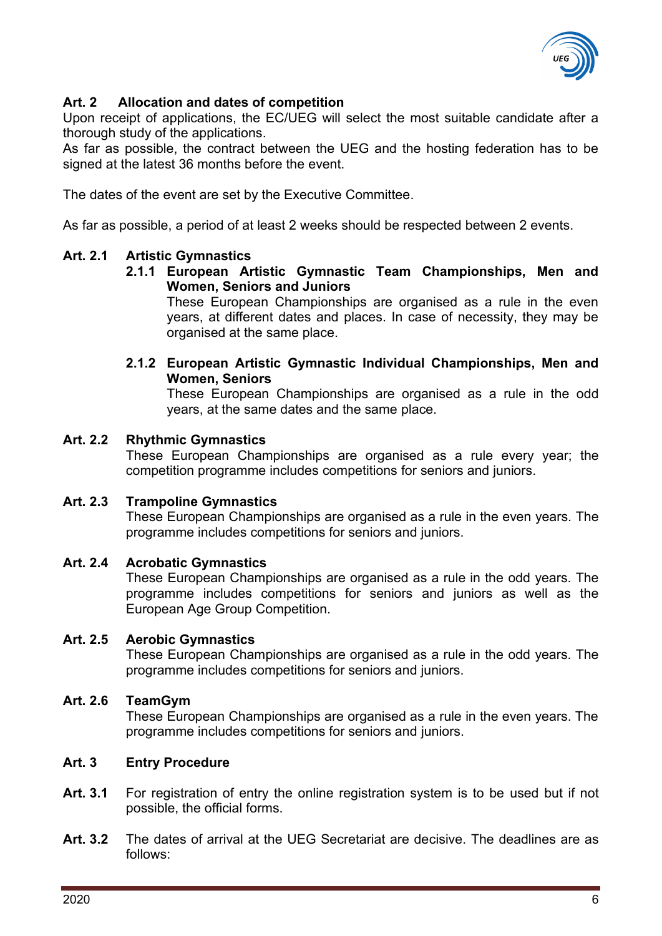

# <span id="page-5-0"></span>**Art. 2 Allocation and dates of competition**

Upon receipt of applications, the EC/UEG will select the most suitable candidate after a thorough study of the applications.

As far as possible, the contract between the UEG and the hosting federation has to be signed at the latest 36 months before the event.

The dates of the event are set by the Executive Committee.

As far as possible, a period of at least 2 weeks should be respected between 2 events.

# **Art. 2.1 Artistic Gymnastics**

**2.1.1 European Artistic Gymnastic Team Championships, Men and Women, Seniors and Juniors** 

These European Championships are organised as a rule in the even years, at different dates and places. In case of necessity, they may be organised at the same place.

**2.1.2 European Artistic Gymnastic Individual Championships, Men and Women, Seniors**

These European Championships are organised as a rule in the odd years, at the same dates and the same place.

# **Art. 2.2 Rhythmic Gymnastics**

These European Championships are organised as a rule every year; the competition programme includes competitions for seniors and juniors.

# **Art. 2.3 Trampoline Gymnastics**

These European Championships are organised as a rule in the even years. The programme includes competitions for seniors and juniors.

# **Art. 2.4 Acrobatic Gymnastics**

These European Championships are organised as a rule in the odd years. The programme includes competitions for seniors and juniors as well as the European Age Group Competition.

# **Art. 2.5 Aerobic Gymnastics**

These European Championships are organised as a rule in the odd years. The programme includes competitions for seniors and juniors.

# **Art. 2.6 TeamGym**

These European Championships are organised as a rule in the even years. The programme includes competitions for seniors and juniors.

#### <span id="page-5-1"></span>**Art. 3 Entry Procedure**

- **Art. 3.1** For registration of entry the online registration system is to be used but if not possible, the official forms.
- **Art. 3.2** The dates of arrival at the UEG Secretariat are decisive. The deadlines are as follows: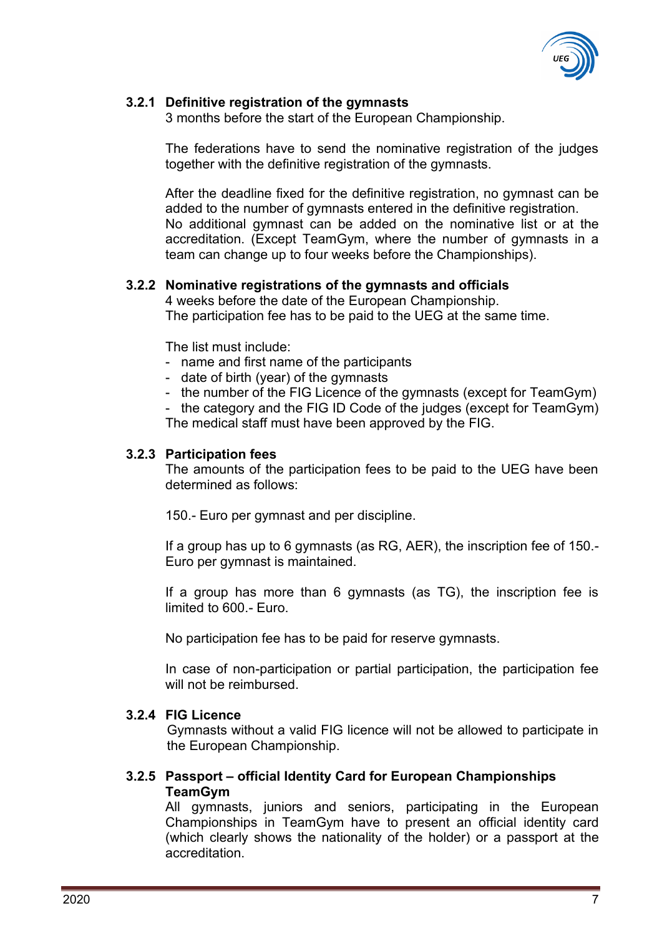

# **3.2.1 Definitive registration of the gymnasts**

3 months before the start of the European Championship.

The federations have to send the nominative registration of the judges together with the definitive registration of the gymnasts.

After the deadline fixed for the definitive registration, no gymnast can be added to the number of gymnasts entered in the definitive registration. No additional gymnast can be added on the nominative list or at the accreditation. (Except TeamGym, where the number of gymnasts in a team can change up to four weeks before the Championships).

#### **3.2.2 Nominative registrations of the gymnasts and officials**

4 weeks before the date of the European Championship. The participation fee has to be paid to the UEG at the same time.

The list must include:

- name and first name of the participants
- date of birth (year) of the gymnasts
- the number of the FIG Licence of the gymnasts (except for TeamGym)

- the category and the FIG ID Code of the judges (except for TeamGym) The medical staff must have been approved by the FIG.

#### **3.2.3 Participation fees**

The amounts of the participation fees to be paid to the UEG have been determined as follows:

150.- Euro per gymnast and per discipline.

If a group has up to 6 gymnasts (as RG, AER), the inscription fee of 150.- Euro per gymnast is maintained.

If a group has more than 6 gymnasts (as TG), the inscription fee is limited to 600.- Euro.

No participation fee has to be paid for reserve gymnasts.

In case of non-participation or partial participation, the participation fee will not be reimbursed.

#### **3.2.4 FIG Licence**

Gymnasts without a valid FIG licence will not be allowed to participate in the European Championship.

#### **3.2.5 Passport – official Identity Card for European Championships TeamGym**

All gymnasts, juniors and seniors, participating in the European Championships in TeamGym have to present an official identity card (which clearly shows the nationality of the holder) or a passport at the accreditation.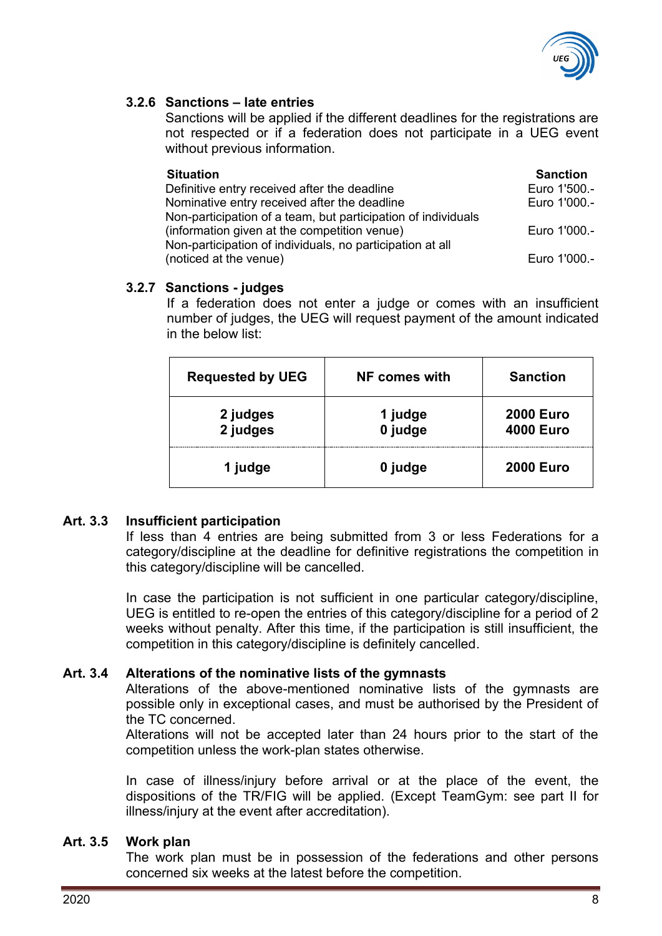

### **3.2.6 Sanctions – late entries**

Sanctions will be applied if the different deadlines for the registrations are not respected or if a federation does not participate in a UEG event without previous information.

| <b>Situation</b>                                              | <b>Sanction</b> |
|---------------------------------------------------------------|-----------------|
| Definitive entry received after the deadline                  | Euro 1'500.-    |
| Nominative entry received after the deadline                  | Euro 1'000 .-   |
| Non-participation of a team, but participation of individuals |                 |
| (information given at the competition venue)                  | Euro 1'000.-    |
| Non-participation of individuals, no participation at all     |                 |
| (noticed at the venue)                                        | Euro 1'000.-    |

### **3.2.7 Sanctions - judges**

If a federation does not enter a judge or comes with an insufficient number of judges, the UEG will request payment of the amount indicated in the below list:

| <b>Requested by UEG</b> | NF comes with      | <b>Sanction</b>                      |
|-------------------------|--------------------|--------------------------------------|
| 2 judges<br>2 judges    | 1 judge<br>0 judge | <b>2000 Euro</b><br><b>4000 Euro</b> |
| 1 judge                 | 0 judge            | <b>2000 Euro</b>                     |

# **Art. 3.3 Insufficient participation**

If less than 4 entries are being submitted from 3 or less Federations for a category/discipline at the deadline for definitive registrations the competition in this category/discipline will be cancelled.

In case the participation is not sufficient in one particular category/discipline, UEG is entitled to re-open the entries of this category/discipline for a period of 2 weeks without penalty. After this time, if the participation is still insufficient, the competition in this category/discipline is definitely cancelled.

#### **Art. 3.4 Alterations of the nominative lists of the gymnasts**

Alterations of the above-mentioned nominative lists of the gymnasts are possible only in exceptional cases, and must be authorised by the President of the TC concerned.

Alterations will not be accepted later than 24 hours prior to the start of the competition unless the work-plan states otherwise.

In case of illness/injury before arrival or at the place of the event, the dispositions of the TR/FIG will be applied. (Except TeamGym: see part II for illness/injury at the event after accreditation).

#### **Art. 3.5 Work plan**

The work plan must be in possession of the federations and other persons concerned six weeks at the latest before the competition.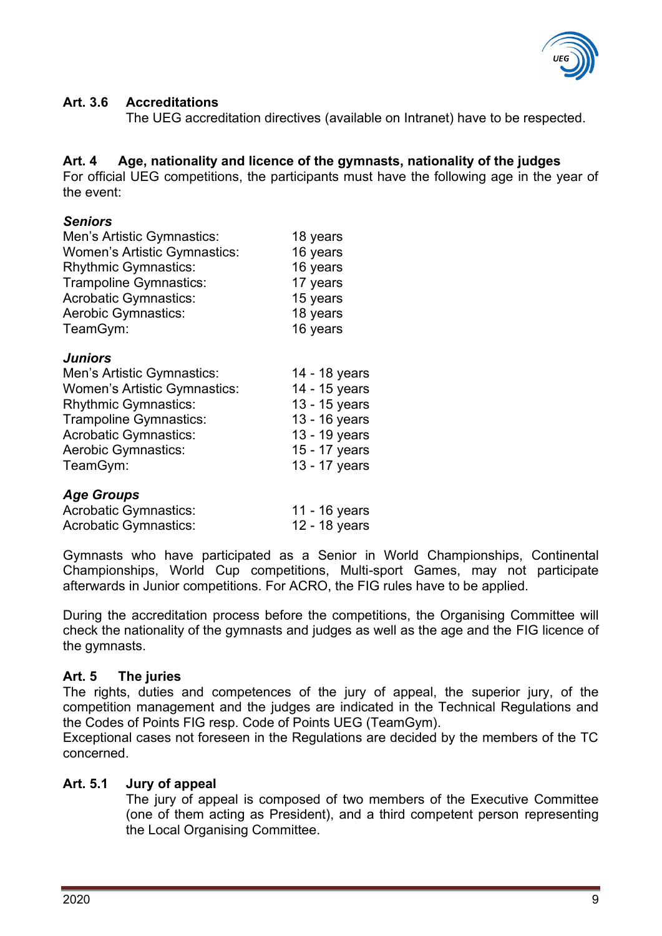

## **Art. 3.6 Accreditations**

The UEG accreditation directives (available on Intranet) have to be respected.

# <span id="page-8-0"></span>**Art. 4 Age, nationality and licence of the gymnasts, nationality of the judges**

For official UEG competitions, the participants must have the following age in the year of the event:

### *Seniors*

| Men's Artistic Gymnastics:          | 18 years                                                                                |
|-------------------------------------|-----------------------------------------------------------------------------------------|
| <b>Women's Artistic Gymnastics:</b> | 16 years                                                                                |
| <b>Rhythmic Gymnastics:</b>         | 16 years                                                                                |
| Trampoline Gymnastics:              | 17 years                                                                                |
| <b>Acrobatic Gymnastics:</b>        | 15 years                                                                                |
| <b>Aerobic Gymnastics:</b>          | 18 years                                                                                |
| TeamGym:                            | 16 years                                                                                |
| <b>Juniors</b>                      |                                                                                         |
| Men's Artistic Gymnastics:          | 14 - 18 years                                                                           |
| <b>Women's Artistic Gymnastics:</b> | 14 - 15 years                                                                           |
| $Dk$ , thus is $Dk$ , more a stiss. | $\lambda$ $\Omega$ $\lambda$ $\Gamma$ $\lambda$ $\lambda$ $\lambda$ $\lambda$ $\lambda$ |

| Women's Artistic Gymnastics:  | 14 - 15 years |
|-------------------------------|---------------|
| <b>Rhythmic Gymnastics:</b>   | 13 - 15 years |
| <b>Trampoline Gymnastics:</b> | 13 - 16 years |
| <b>Acrobatic Gymnastics:</b>  | 13 - 19 years |
| <b>Aerobic Gymnastics:</b>    | 15 - 17 years |
| TeamGym:                      | 13 - 17 years |
|                               |               |
|                               |               |

#### *Age Groups*

| <b>Acrobatic Gymnastics:</b> | 11 - 16 years |
|------------------------------|---------------|
| <b>Acrobatic Gymnastics:</b> | 12 - 18 years |

Gymnasts who have participated as a Senior in World Championships, Continental Championships, World Cup competitions, Multi-sport Games, may not participate afterwards in Junior competitions. For ACRO, the FIG rules have to be applied.

During the accreditation process before the competitions, the Organising Committee will check the nationality of the gymnasts and judges as well as the age and the FIG licence of the gymnasts.

# <span id="page-8-1"></span>**Art. 5 The juries**

The rights, duties and competences of the jury of appeal, the superior jury, of the competition management and the judges are indicated in the Technical Regulations and the Codes of Points FIG resp. Code of Points UEG (TeamGym).

Exceptional cases not foreseen in the Regulations are decided by the members of the TC concerned.

#### **Art. 5.1 Jury of appeal**

The jury of appeal is composed of two members of the Executive Committee (one of them acting as President), and a third competent person representing the Local Organising Committee.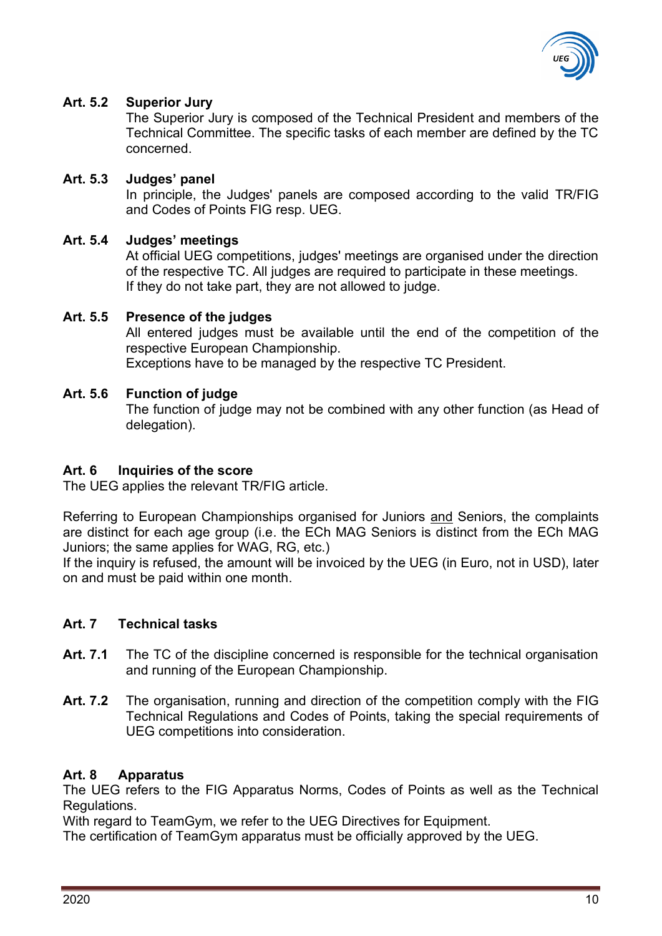

### **Art. 5.2 Superior Jury**

The Superior Jury is composed of the Technical President and members of the Technical Committee. The specific tasks of each member are defined by the TC concerned.

## **Art. 5.3 Judges' panel**

In principle, the Judges' panels are composed according to the valid TR/FIG and Codes of Points FIG resp. UEG.

### **Art. 5.4 Judges' meetings**

At official UEG competitions, judges' meetings are organised under the direction of the respective TC. All judges are required to participate in these meetings. If they do not take part, they are not allowed to judge.

#### **Art. 5.5 Presence of the judges**

All entered judges must be available until the end of the competition of the respective European Championship.

Exceptions have to be managed by the respective TC President.

### **Art. 5.6 Function of judge**

The function of judge may not be combined with any other function (as Head of delegation).

## <span id="page-9-0"></span>**Art. 6 Inquiries of the score**

The UEG applies the relevant TR/FIG article.

Referring to European Championships organised for Juniors and Seniors, the complaints are distinct for each age group (i.e. the ECh MAG Seniors is distinct from the ECh MAG Juniors; the same applies for WAG, RG, etc.)

If the inquiry is refused, the amount will be invoiced by the UEG (in Euro, not in USD), later on and must be paid within one month.

#### <span id="page-9-1"></span>**Art. 7 Technical tasks**

- **Art. 7.1** The TC of the discipline concerned is responsible for the technical organisation and running of the European Championship.
- **Art. 7.2** The organisation, running and direction of the competition comply with the FIG Technical Regulations and Codes of Points, taking the special requirements of UEG competitions into consideration.

# <span id="page-9-2"></span>**Art. 8 Apparatus**

The UEG refers to the FIG Apparatus Norms, Codes of Points as well as the Technical Regulations.

With regard to TeamGym, we refer to the UEG Directives for Equipment.

The certification of TeamGym apparatus must be officially approved by the UEG.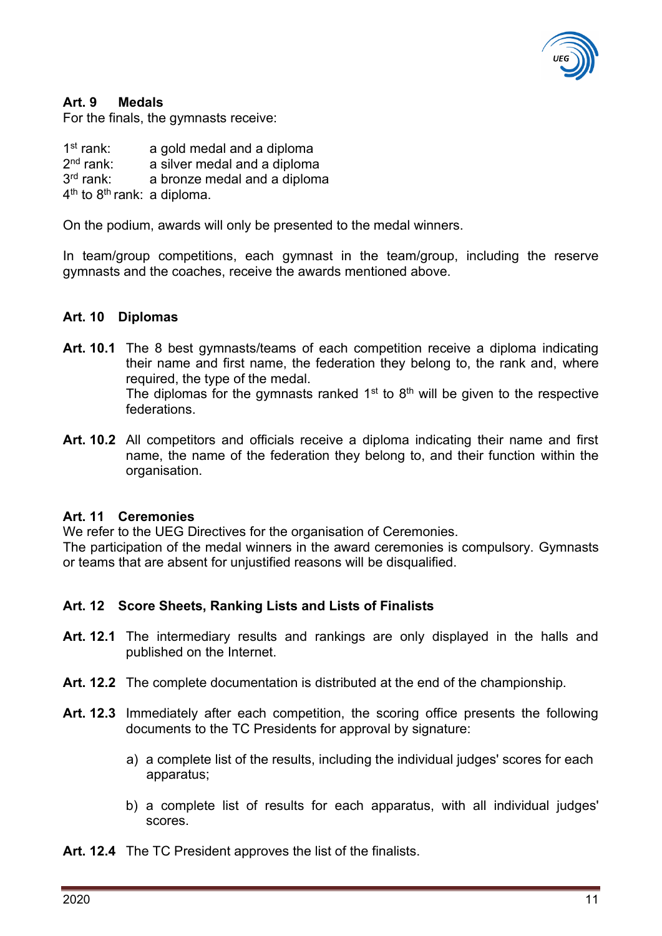

### <span id="page-10-0"></span>**Art. 9 Medals**

For the finals, the gymnasts receive:

 $1<sup>st</sup>$  rank: a gold medal and a diploma  $2<sup>nd</sup>$  rank: a silver medal and a diploma 3<sup>rd</sup> rank: a bronze medal and a diploma

4<sup>th</sup> to 8<sup>th</sup> rank: a diploma.

On the podium, awards will only be presented to the medal winners.

In team/group competitions, each gymnast in the team/group, including the reserve gymnasts and the coaches, receive the awards mentioned above.

#### <span id="page-10-1"></span>**Art. 10 Diplomas**

- **Art. 10.1** The 8 best gymnasts/teams of each competition receive a diploma indicating their name and first name, the federation they belong to, the rank and, where required, the type of the medal. The diplomas for the gymnasts ranked  $1<sup>st</sup>$  to  $8<sup>th</sup>$  will be given to the respective federations.
- **Art. 10.2** All competitors and officials receive a diploma indicating their name and first name, the name of the federation they belong to, and their function within the organisation.

#### <span id="page-10-2"></span>**Art. 11 Ceremonies**

We refer to the UEG Directives for the organisation of Ceremonies.

The participation of the medal winners in the award ceremonies is compulsory. Gymnasts or teams that are absent for unjustified reasons will be disqualified.

#### <span id="page-10-3"></span>**Art. 12 Score Sheets, Ranking Lists and Lists of Finalists**

- **Art. 12.1** The intermediary results and rankings are only displayed in the halls and published on the Internet.
- **Art. 12.2** The complete documentation is distributed at the end of the championship.
- **Art. 12.3** Immediately after each competition, the scoring office presents the following documents to the TC Presidents for approval by signature:
	- a) a complete list of the results, including the individual judges' scores for each apparatus;
	- b) a complete list of results for each apparatus, with all individual judges' scores.
- **Art. 12.4** The TC President approves the list of the finalists.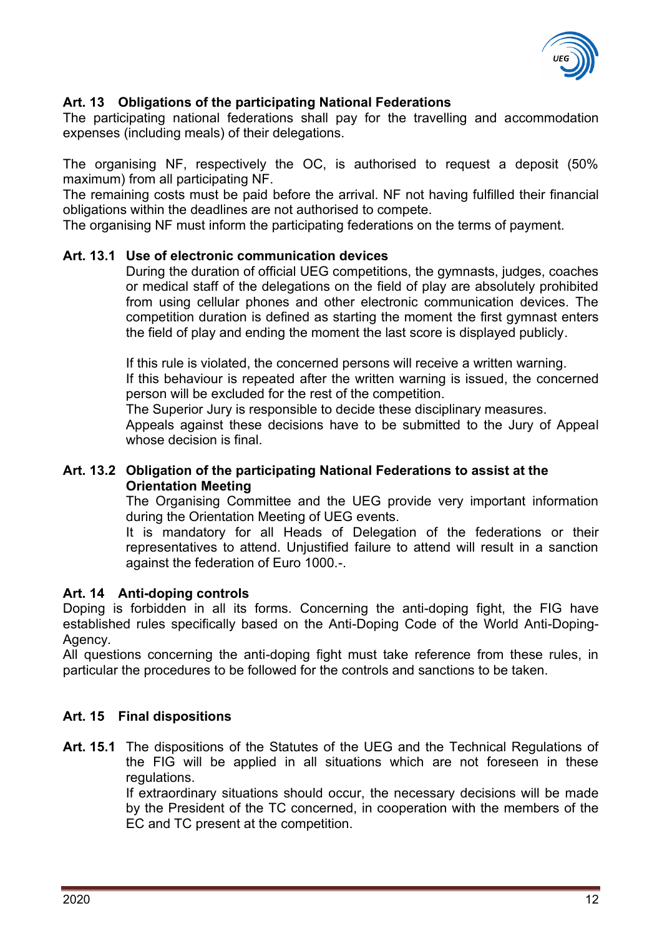

# <span id="page-11-0"></span>**Art. 13 Obligations of the participating National Federations**

The participating national federations shall pay for the travelling and accommodation expenses (including meals) of their delegations.

The organising NF, respectively the OC, is authorised to request a deposit (50% maximum) from all participating NF.

The remaining costs must be paid before the arrival. NF not having fulfilled their financial obligations within the deadlines are not authorised to compete.

The organising NF must inform the participating federations on the terms of payment.

### **Art. 13.1 Use of electronic communication devices**

During the duration of official UEG competitions, the gymnasts, judges, coaches or medical staff of the delegations on the field of play are absolutely prohibited from using cellular phones and other electronic communication devices. The competition duration is defined as starting the moment the first gymnast enters the field of play and ending the moment the last score is displayed publicly.

If this rule is violated, the concerned persons will receive a written warning. If this behaviour is repeated after the written warning is issued, the concerned

person will be excluded for the rest of the competition. The Superior Jury is responsible to decide these disciplinary measures.

Appeals against these decisions have to be submitted to the Jury of Appeal whose decision is final.

### **Art. 13.2 Obligation of the participating National Federations to assist at the Orientation Meeting**

The Organising Committee and the UEG provide very important information during the Orientation Meeting of UEG events.

It is mandatory for all Heads of Delegation of the federations or their representatives to attend. Unjustified failure to attend will result in a sanction against the federation of Euro 1000.-.

# <span id="page-11-1"></span>**Art. 14 Anti-doping controls**

Doping is forbidden in all its forms. Concerning the anti-doping fight, the FIG have established rules specifically based on the Anti-Doping Code of the World Anti-Doping-Agency.

All questions concerning the anti-doping fight must take reference from these rules, in particular the procedures to be followed for the controls and sanctions to be taken.

# <span id="page-11-2"></span>**Art. 15 Final dispositions**

**Art. 15.1** The dispositions of the Statutes of the UEG and the Technical Regulations of the FIG will be applied in all situations which are not foreseen in these regulations.

If extraordinary situations should occur, the necessary decisions will be made by the President of the TC concerned, in cooperation with the members of the EC and TC present at the competition.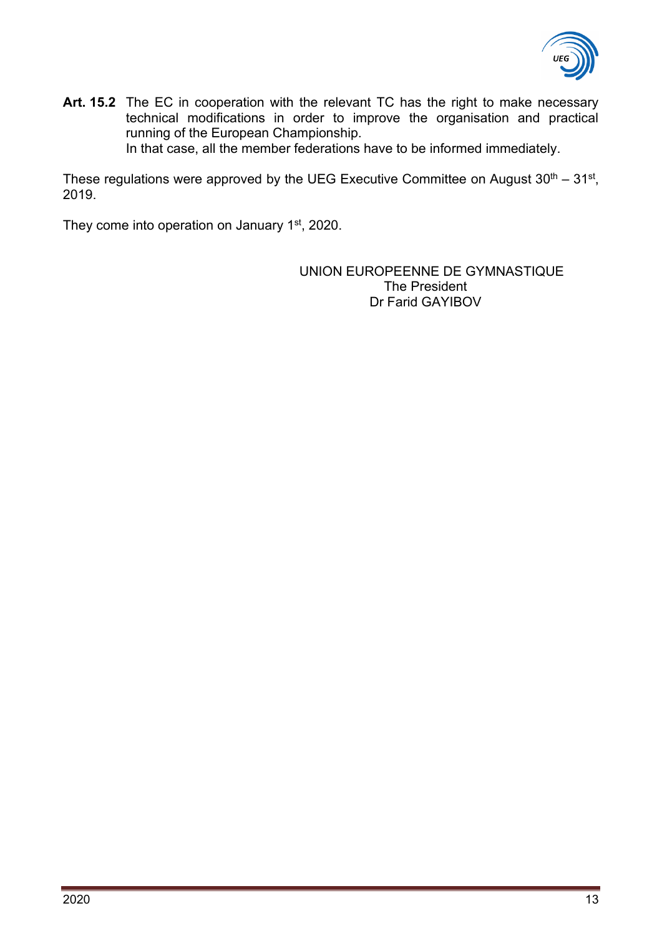

**Art. 15.2** The EC in cooperation with the relevant TC has the right to make necessary technical modifications in order to improve the organisation and practical running of the European Championship. In that case, all the member federations have to be informed immediately.

These regulations were approved by the UEG Executive Committee on August  $30<sup>th</sup> - 31<sup>st</sup>$ , 2019.

They come into operation on January 1<sup>st</sup>, 2020.

UNION EUROPEENNE DE GYMNASTIQUE The President Dr Farid GAYIBOV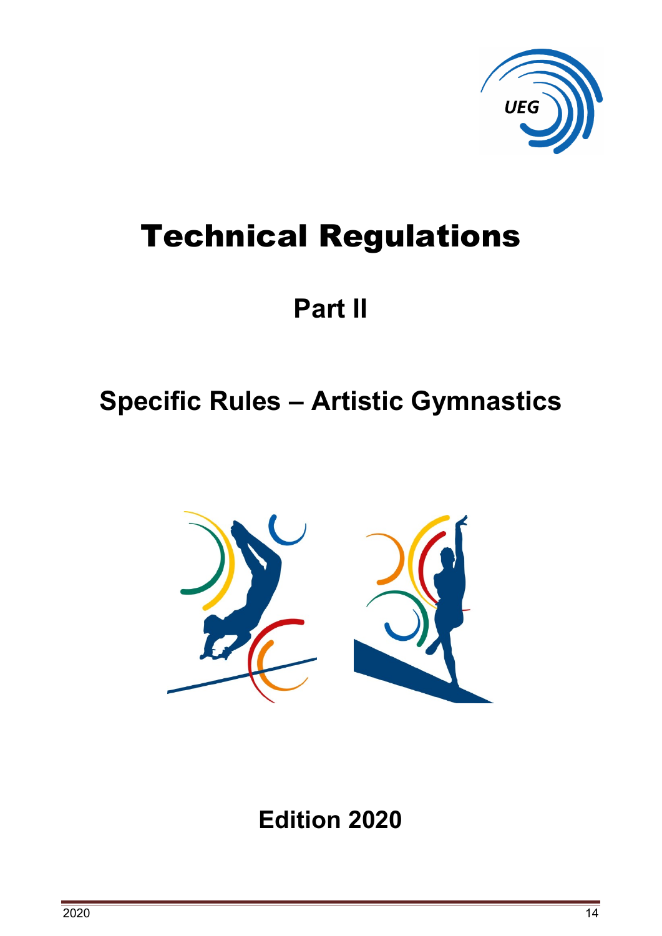

# Technical Regulations

# **Part II**

# <span id="page-13-0"></span>**Specific Rules – Artistic Gymnastics**



**Edition 2020**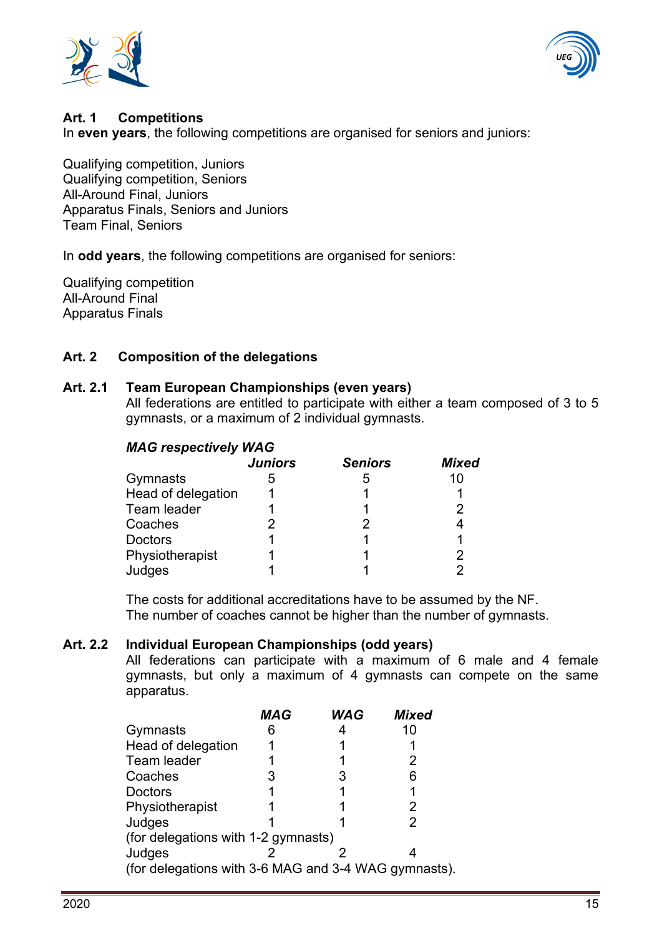



#### <span id="page-14-0"></span>**Art. 1 Competitions**

In **even years**, the following competitions are organised for seniors and juniors:

Qualifying competition, Juniors Qualifying competition, Seniors All-Around Final, Juniors Apparatus Finals, Seniors and Juniors Team Final, Seniors

In **odd years**, the following competitions are organised for seniors:

Qualifying competition All-Around Final Apparatus Finals

#### <span id="page-14-1"></span>**Art. 2 Composition of the delegations**

#### **Art. 2.1 Team European Championships (even years)**

All federations are entitled to participate with either a team composed of 3 to 5 gymnasts, or a maximum of 2 individual gymnasts.

#### *MAG respectively WAG*

|                    | <b>Juniors</b> | <b>Seniors</b> | <b>Mixed</b> |
|--------------------|----------------|----------------|--------------|
| Gymnasts           |                | 5              | 10           |
| Head of delegation |                |                |              |
| Team leader        |                |                | 2            |
| Coaches            |                | 2              |              |
| <b>Doctors</b>     |                |                |              |
| Physiotherapist    |                |                | 2            |
| Judges             |                |                | っ            |

The costs for additional accreditations have to be assumed by the NF. The number of coaches cannot be higher than the number of gymnasts.

#### **Art. 2.2 Individual European Championships (odd years)**

All federations can participate with a maximum of 6 male and 4 female gymnasts, but only a maximum of 4 gymnasts can compete on the same apparatus.

|                                                      | <b>MAG</b> | <b>WAG</b> | <b>Mixed</b> |  |
|------------------------------------------------------|------------|------------|--------------|--|
| Gymnasts                                             |            |            | 10           |  |
| Head of delegation                                   |            |            |              |  |
| Team leader                                          |            |            |              |  |
| Coaches                                              |            |            | 6            |  |
| Doctors                                              |            |            |              |  |
| Physiotherapist                                      |            |            |              |  |
| Judges                                               |            |            |              |  |
| (for delegations with 1-2 gymnasts)                  |            |            |              |  |
| Judges                                               |            |            |              |  |
| (for delegations with 3-6 MAG and 3-4 WAG gymnasts). |            |            |              |  |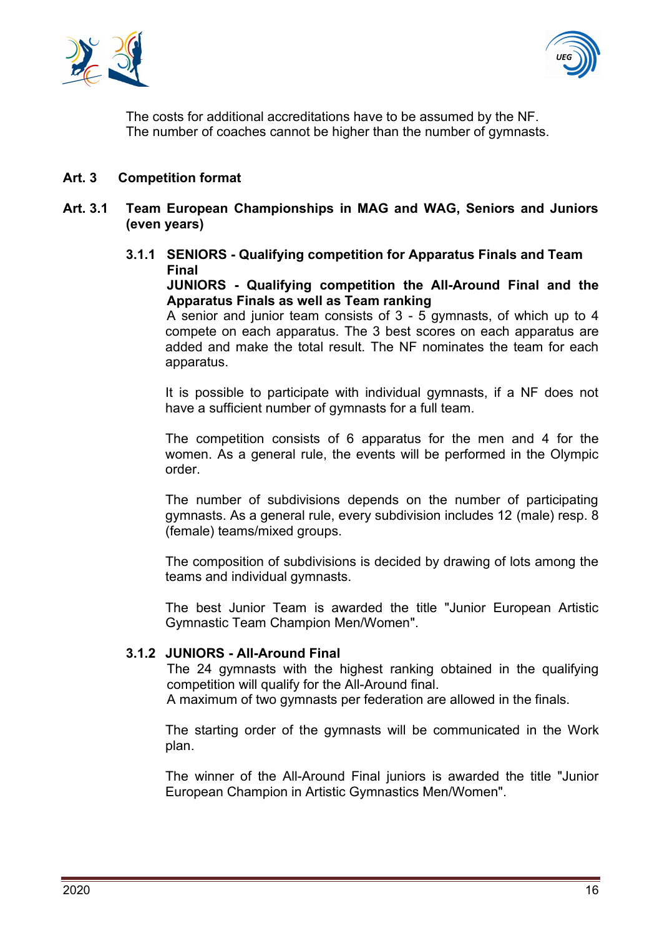



The costs for additional accreditations have to be assumed by the NF. The number of coaches cannot be higher than the number of gymnasts.

#### <span id="page-15-0"></span>**Art. 3 Competition format**

- **Art. 3.1 Team European Championships in MAG and WAG, Seniors and Juniors (even years)**
	- **3.1.1 SENIORS - Qualifying competition for Apparatus Finals and Team Final**

**JUNIORS - Qualifying competition the All-Around Final and the Apparatus Finals as well as Team ranking**

A senior and junior team consists of 3 - 5 gymnasts, of which up to 4 compete on each apparatus. The 3 best scores on each apparatus are added and make the total result. The NF nominates the team for each apparatus.

It is possible to participate with individual gymnasts, if a NF does not have a sufficient number of gymnasts for a full team.

The competition consists of 6 apparatus for the men and 4 for the women. As a general rule, the events will be performed in the Olympic order.

The number of subdivisions depends on the number of participating gymnasts. As a general rule, every subdivision includes 12 (male) resp. 8 (female) teams/mixed groups.

The composition of subdivisions is decided by drawing of lots among the teams and individual gymnasts.

The best Junior Team is awarded the title "Junior European Artistic Gymnastic Team Champion Men/Women".

#### **3.1.2 JUNIORS - All-Around Final**

The 24 gymnasts with the highest ranking obtained in the qualifying competition will qualify for the All-Around final.

A maximum of two gymnasts per federation are allowed in the finals.

The starting order of the gymnasts will be communicated in the Work plan.

The winner of the All-Around Final juniors is awarded the title "Junior European Champion in Artistic Gymnastics Men/Women".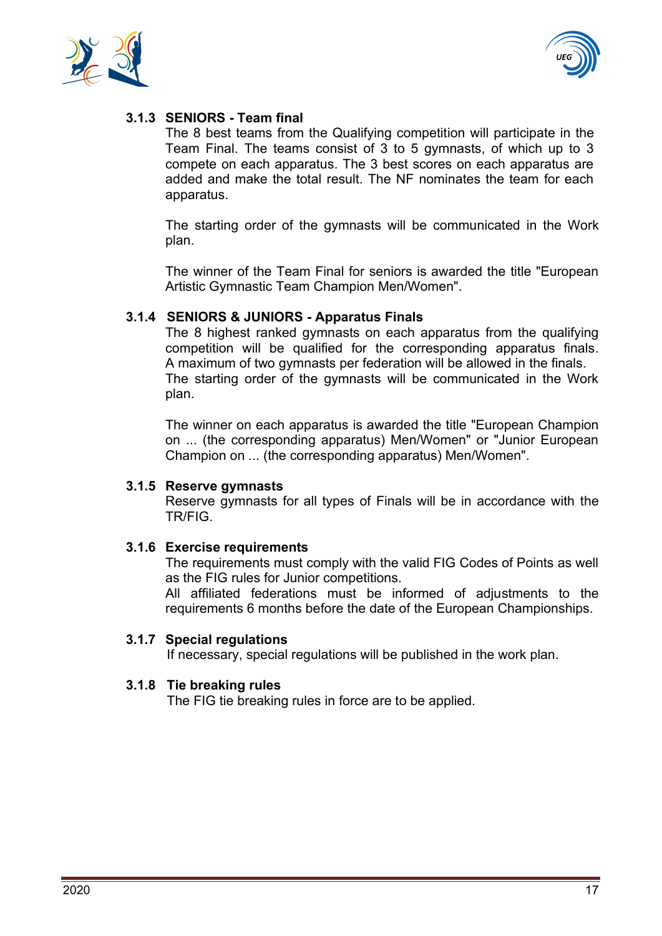



# **3.1.3 SENIORS - Team final**

The 8 best teams from the Qualifying competition will participate in the Team Final. The teams consist of 3 to 5 gymnasts, of which up to 3 compete on each apparatus. The 3 best scores on each apparatus are added and make the total result. The NF nominates the team for each apparatus.

The starting order of the gymnasts will be communicated in the Work plan.

The winner of the Team Final for seniors is awarded the title "European Artistic Gymnastic Team Champion Men/Women".

## **3.1.4 SENIORS & JUNIORS - Apparatus Finals**

The 8 highest ranked gymnasts on each apparatus from the qualifying competition will be qualified for the corresponding apparatus finals. A maximum of two gymnasts per federation will be allowed in the finals. The starting order of the gymnasts will be communicated in the Work plan.

The winner on each apparatus is awarded the title "European Champion on ... (the corresponding apparatus) Men/Women" or "Junior European Champion on ... (the corresponding apparatus) Men/Women".

#### **3.1.5 Reserve gymnasts**

Reserve gymnasts for all types of Finals will be in accordance with the TR/FIG.

#### **3.1.6 Exercise requirements**

The requirements must comply with the valid FIG Codes of Points as well as the FIG rules for Junior competitions.

All affiliated federations must be informed of adjustments to the requirements 6 months before the date of the European Championships.

#### **3.1.7 Special regulations**

If necessary, special regulations will be published in the work plan.

#### **3.1.8 Tie breaking rules**

The FIG tie breaking rules in force are to be applied.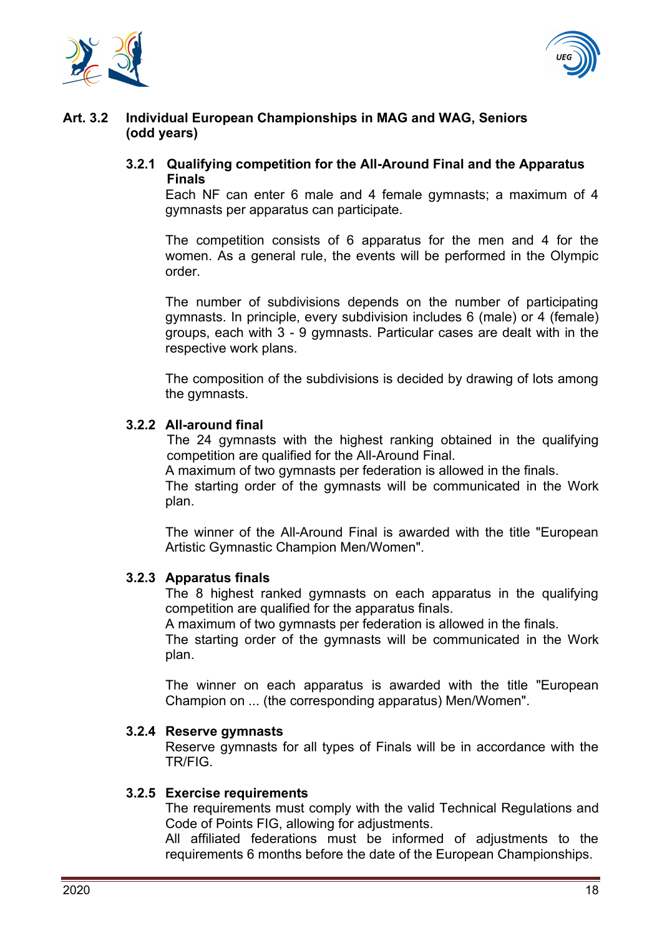



### **Art. 3.2 Individual European Championships in MAG and WAG, Seniors (odd years)**

### **3.2.1 Qualifying competition for the All-Around Final and the Apparatus Finals**

Each NF can enter 6 male and 4 female gymnasts; a maximum of 4 gymnasts per apparatus can participate.

The competition consists of 6 apparatus for the men and 4 for the women. As a general rule, the events will be performed in the Olympic order.

The number of subdivisions depends on the number of participating gymnasts. In principle, every subdivision includes 6 (male) or 4 (female) groups, each with 3 - 9 gymnasts. Particular cases are dealt with in the respective work plans.

The composition of the subdivisions is decided by drawing of lots among the gymnasts.

### **3.2.2 All-around final**

The 24 gymnasts with the highest ranking obtained in the qualifying competition are qualified for the All-Around Final.

A maximum of two gymnasts per federation is allowed in the finals.

The starting order of the gymnasts will be communicated in the Work plan.

The winner of the All-Around Final is awarded with the title "European Artistic Gymnastic Champion Men/Women".

# **3.2.3 Apparatus finals**

The 8 highest ranked gymnasts on each apparatus in the qualifying competition are qualified for the apparatus finals.

A maximum of two gymnasts per federation is allowed in the finals.

The starting order of the gymnasts will be communicated in the Work plan.

The winner on each apparatus is awarded with the title "European Champion on ... (the corresponding apparatus) Men/Women".

#### **3.2.4 Reserve gymnasts**

Reserve gymnasts for all types of Finals will be in accordance with the TR/FIG.

#### **3.2.5 Exercise requirements**

The requirements must comply with the valid Technical Regulations and Code of Points FIG, allowing for adjustments.

All affiliated federations must be informed of adjustments to the requirements 6 months before the date of the European Championships.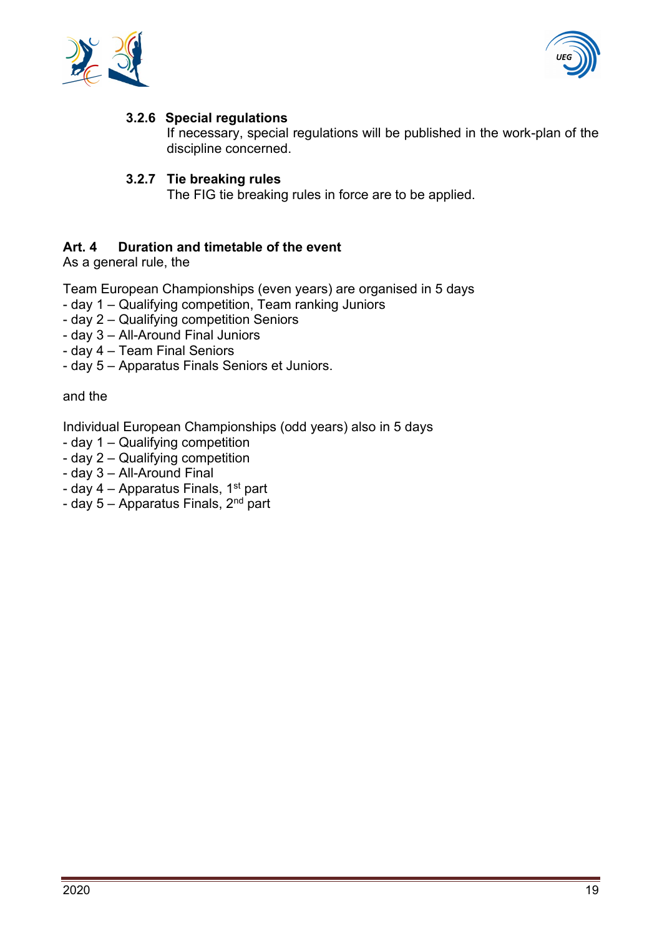



# **3.2.6 Special regulations**

If necessary, special regulations will be published in the work-plan of the discipline concerned.

#### **3.2.7 Tie breaking rules**

The FIG tie breaking rules in force are to be applied.

### <span id="page-18-0"></span>**Art. 4 Duration and timetable of the event**

As a general rule, the

Team European Championships (even years) are organised in 5 days

- day 1 Qualifying competition, Team ranking Juniors
- day 2 Qualifying competition Seniors
- day 3 All-Around Final Juniors
- day 4 Team Final Seniors
- day 5 Apparatus Finals Seniors et Juniors.

and the

Individual European Championships (odd years) also in 5 days

- day 1 Qualifying competition
- day 2 Qualifying competition
- day 3 All-Around Final
- day  $4$  Apparatus Finals, 1<sup>st</sup> part
- day  $5$  Apparatus Finals,  $2<sup>nd</sup>$  part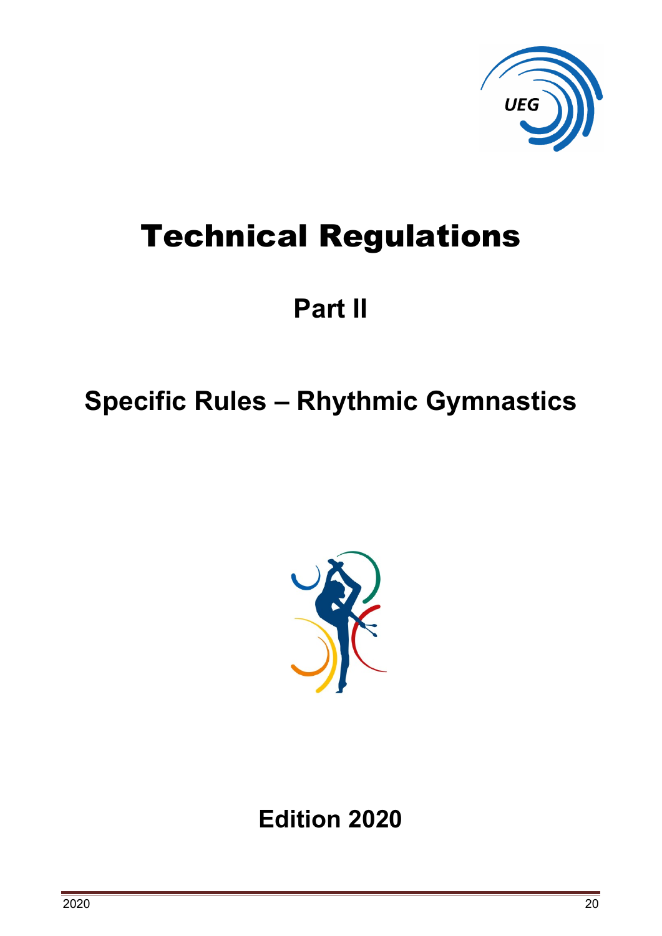

# Technical Regulations

# **Part II**

# <span id="page-19-0"></span>**Specific Rules – Rhythmic Gymnastics**



**Edition 2020**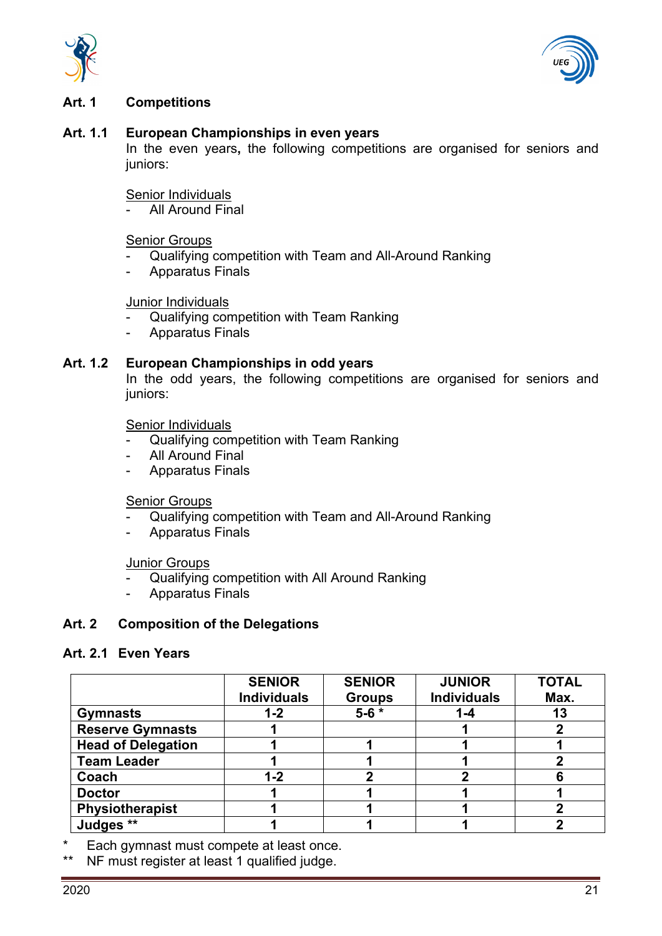



#### <span id="page-20-0"></span>**Art. 1 Competitions**

#### **Art. 1.1 European Championships in even years**

In the even years**,** the following competitions are organised for seniors and juniors:

#### Senior Individuals

All Around Final

#### Senior Groups

- Qualifying competition with Team and All-Around Ranking
- Apparatus Finals

#### Junior Individuals

- Qualifying competition with Team Ranking
- Apparatus Finals

#### **Art. 1.2 European Championships in odd years**

In the odd years, the following competitions are organised for seniors and juniors:

#### Senior Individuals

- Qualifying competition with Team Ranking
- All Around Final
- Apparatus Finals

#### Senior Groups

- Qualifying competition with Team and All-Around Ranking
- Apparatus Finals

#### Junior Groups

- Qualifying competition with All Around Ranking
- Apparatus Finals

#### <span id="page-20-1"></span>**Art. 2 Composition of the Delegations**

#### **Art. 2.1 Even Years**

|                           | <b>SENIOR</b>      | <b>SENIOR</b> | <b>JUNIOR</b>      | <b>TOTAL</b> |
|---------------------------|--------------------|---------------|--------------------|--------------|
|                           | <b>Individuals</b> | <b>Groups</b> | <b>Individuals</b> | Max.         |
| <b>Gymnasts</b>           | 1-2                | $5 - 6 *$     | $1 - 4$            | 13           |
| <b>Reserve Gymnasts</b>   |                    |               |                    |              |
| <b>Head of Delegation</b> |                    |               |                    |              |
| <b>Team Leader</b>        |                    |               |                    |              |
| Coach                     | $1 - 2$            |               |                    | 6            |
| <b>Doctor</b>             |                    |               |                    |              |
| Physiotherapist           |                    |               |                    |              |
| Judges **                 |                    |               |                    |              |

\* Each gymnast must compete at least once.

\*\* NF must register at least 1 qualified judge.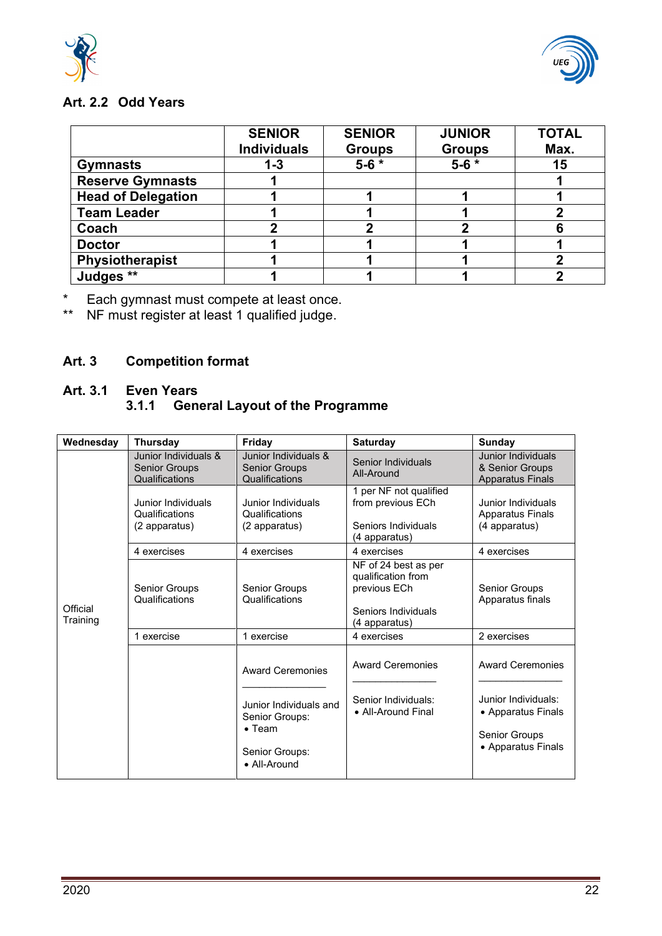



# **Art. 2.2 Odd Years**

|                           | <b>SENIOR</b><br><b>Individuals</b> | <b>SENIOR</b><br><b>Groups</b> | <b>JUNIOR</b><br><b>Groups</b> | <b>TOTAL</b><br>Max. |
|---------------------------|-------------------------------------|--------------------------------|--------------------------------|----------------------|
| <b>Gymnasts</b>           | $1 - 3$                             | $5 - 6 *$                      | $5 - 6 *$                      | 15                   |
| <b>Reserve Gymnasts</b>   |                                     |                                |                                |                      |
| <b>Head of Delegation</b> |                                     |                                |                                |                      |
| <b>Team Leader</b>        |                                     |                                |                                |                      |
| Coach                     |                                     |                                |                                | 6                    |
| <b>Doctor</b>             |                                     |                                |                                |                      |
| Physiotherapist           |                                     |                                |                                |                      |
| Judges **                 |                                     |                                |                                |                      |

\* Each gymnast must compete at least once.

\*\* NF must register at least 1 qualified judge.

# <span id="page-21-0"></span>**Art. 3 Competition format**

### **Art. 3.1 Even Years 3.1.1 General Layout of the Programme**

| <b>Thursday</b>                                                | Friday                                                                                       | <b>Saturday</b>                                                                                    | <b>Sunday</b>                                                                    |
|----------------------------------------------------------------|----------------------------------------------------------------------------------------------|----------------------------------------------------------------------------------------------------|----------------------------------------------------------------------------------|
| Junior Individuals &<br><b>Senior Groups</b><br>Qualifications | Junior Individuals &<br><b>Senior Groups</b><br>Qualifications                               | Senior Individuals<br>All-Around                                                                   | Junior Individuals<br>& Senior Groups<br><b>Apparatus Finals</b>                 |
| Junior Individuals<br>Qualifications<br>(2 apparatus)          | Junior Individuals<br>Qualifications<br>(2 apparatus)                                        | 1 per NF not qualified<br>from previous ECh<br>Seniors Individuals<br>(4 apparatus)                | Junior Individuals<br><b>Apparatus Finals</b><br>(4 apparatus)                   |
| 4 exercises                                                    | 4 exercises                                                                                  | 4 exercises                                                                                        | 4 exercises                                                                      |
| <b>Senior Groups</b><br>Qualifications                         | <b>Senior Groups</b><br>Qualifications                                                       | NF of 24 best as per<br>qualification from<br>previous ECh<br>Seniors Individuals<br>(4 apparatus) | Senior Groups<br>Apparatus finals                                                |
| 1 exercise                                                     | 1 exercise                                                                                   | 4 exercises                                                                                        | 2 exercises                                                                      |
|                                                                | <b>Award Ceremonies</b>                                                                      | <b>Award Ceremonies</b>                                                                            | <b>Award Ceremonies</b>                                                          |
|                                                                | Junior Individuals and<br>Senior Groups:<br>$\bullet$ Team<br>Senior Groups:<br>• All-Around | Senior Individuals:<br>• All-Around Final                                                          | Junior Individuals:<br>• Apparatus Finals<br>Senior Groups<br>• Apparatus Finals |
|                                                                |                                                                                              |                                                                                                    |                                                                                  |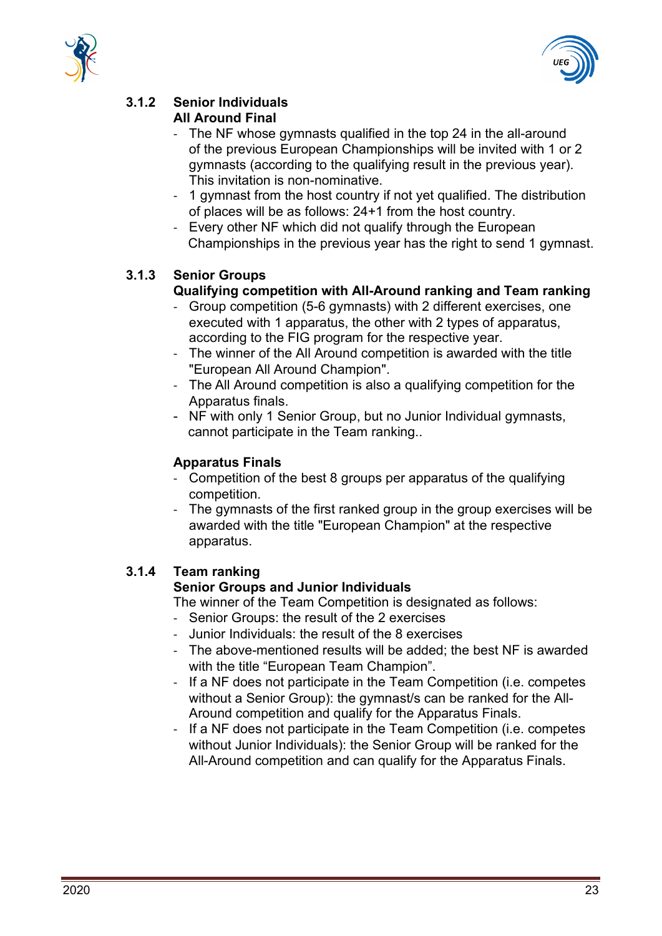



#### **3.1.2 Senior Individuals All Around Final**

- The NF whose gymnasts qualified in the top 24 in the all-around of the previous European Championships will be invited with 1 or 2 gymnasts (according to the qualifying result in the previous year). This invitation is non-nominative.
- 1 gymnast from the host country if not yet qualified. The distribution of places will be as follows: 24+1 from the host country.
- Every other NF which did not qualify through the European Championships in the previous year has the right to send 1 gymnast.

# **3.1.3 Senior Groups**

# **Qualifying competition with All-Around ranking and Team ranking**

- Group competition (5-6 gymnasts) with 2 different exercises, one executed with 1 apparatus, the other with 2 types of apparatus, according to the FIG program for the respective year.
- The winner of the All Around competition is awarded with the title "European All Around Champion".
- The All Around competition is also a qualifying competition for the Apparatus finals.
- NF with only 1 Senior Group, but no Junior Individual gymnasts, cannot participate in the Team ranking..

# **Apparatus Finals**

- Competition of the best 8 groups per apparatus of the qualifying competition.
- The gymnasts of the first ranked group in the group exercises will be awarded with the title "European Champion" at the respective apparatus.

# **3.1.4 Team ranking**

# **Senior Groups and Junior Individuals**

The winner of the Team Competition is designated as follows:

- Senior Groups: the result of the 2 exercises
- Junior Individuals: the result of the 8 exercises
- The above-mentioned results will be added; the best NF is awarded with the title "European Team Champion".
- If a NF does not participate in the Team Competition (i.e. competes without a Senior Group): the gymnast/s can be ranked for the All-Around competition and qualify for the Apparatus Finals.
- If a NF does not participate in the Team Competition (i.e. competes without Junior Individuals): the Senior Group will be ranked for the All-Around competition and can qualify for the Apparatus Finals.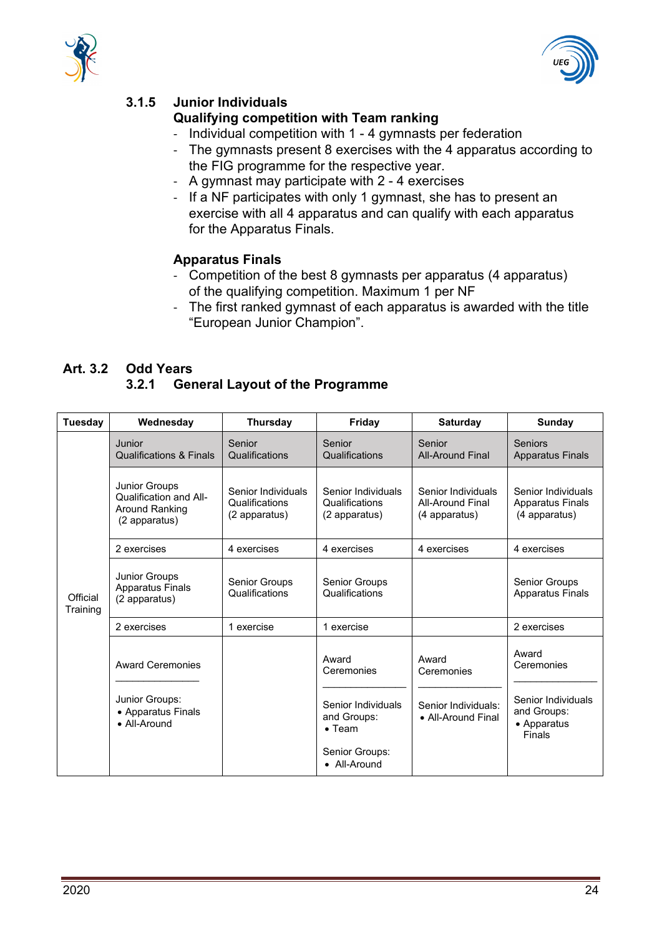



# **3.1.5 Junior Individuals**

## **Qualifying competition with Team ranking**

- Individual competition with 1 4 gymnasts per federation
- The gymnasts present 8 exercises with the 4 apparatus according to the FIG programme for the respective year.
- A gymnast may participate with 2 4 exercises
- If a NF participates with only 1 gymnast, she has to present an exercise with all 4 apparatus and can qualify with each apparatus for the Apparatus Finals.

# **Apparatus Finals**

- Competition of the best 8 gymnasts per apparatus (4 apparatus) of the qualifying competition. Maximum 1 per NF
- The first ranked gymnast of each apparatus is awarded with the title "European Junior Champion".

#### **Art. 3.2 Odd Years 3.2.1 General Layout of the Programme**

| Tuesday              | Wednesday                                                                                | <b>Thursday</b>                                       | Friday                                                                                       | <b>Saturday</b>                                                  | <b>Sunday</b>                                                                     |
|----------------------|------------------------------------------------------------------------------------------|-------------------------------------------------------|----------------------------------------------------------------------------------------------|------------------------------------------------------------------|-----------------------------------------------------------------------------------|
|                      | Junior<br><b>Qualifications &amp; Finals</b>                                             | Senior<br>Qualifications                              | Senior<br>Qualifications                                                                     | Senior<br><b>All-Around Final</b>                                | <b>Seniors</b><br><b>Apparatus Finals</b>                                         |
|                      | <b>Junior Groups</b><br>Qualification and All-<br><b>Around Ranking</b><br>(2 apparatus) | Senior Individuals<br>Qualifications<br>(2 apparatus) | Senior Individuals<br>Qualifications<br>(2 apparatus)                                        | Senior Individuals<br><b>All-Around Final</b><br>(4 apparatus)   | Senior Individuals<br><b>Apparatus Finals</b><br>(4 apparatus)                    |
|                      | 2 exercises                                                                              | 4 exercises                                           | 4 exercises                                                                                  | 4 exercises                                                      | 4 exercises                                                                       |
| Official<br>Training | Junior Groups<br><b>Apparatus Finals</b><br>(2 apparatus)                                | Senior Groups<br>Qualifications                       | Senior Groups<br>Qualifications                                                              |                                                                  | <b>Senior Groups</b><br><b>Apparatus Finals</b>                                   |
|                      | 2 exercises                                                                              | 1 exercise                                            | 1 exercise                                                                                   |                                                                  | 2 exercises                                                                       |
|                      | <b>Award Ceremonies</b><br>Junior Groups:<br>• Apparatus Finals<br>• All-Around          |                                                       | Award<br>Ceremonies<br>Senior Individuals<br>and Groups:<br>$\bullet$ Team<br>Senior Groups: | Award<br>Ceremonies<br>Senior Individuals:<br>• All-Around Final | Award<br>Ceremonies<br>Senior Individuals<br>and Groups:<br>• Apparatus<br>Finals |
|                      |                                                                                          |                                                       | • All-Around                                                                                 |                                                                  |                                                                                   |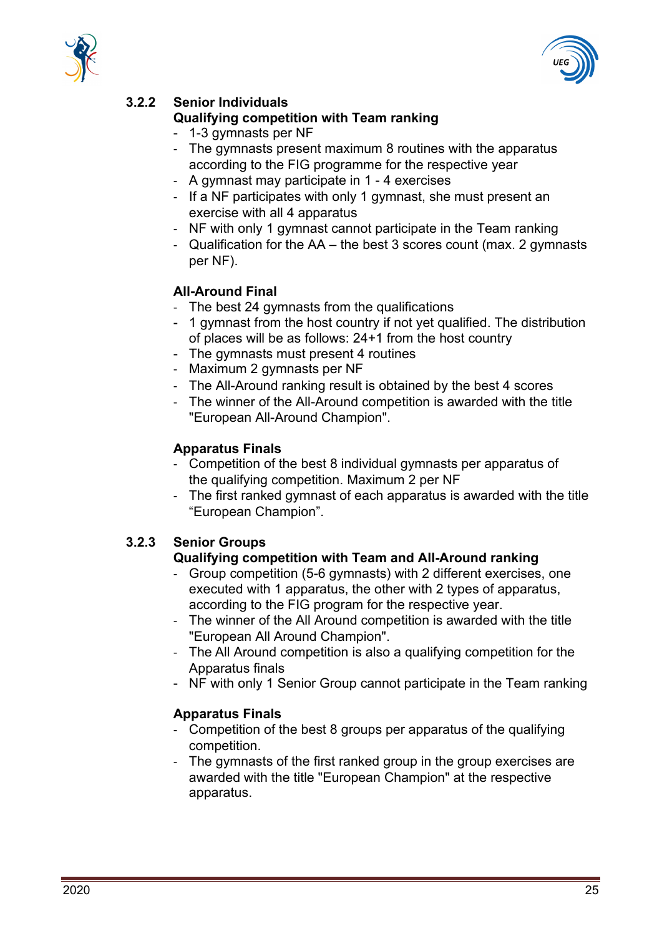



# **3.2.2 Senior Individuals**

## **Qualifying competition with Team ranking**

- 1-3 gymnasts per NF
- The gymnasts present maximum 8 routines with the apparatus according to the FIG programme for the respective year
- A gymnast may participate in 1 4 exercises
- If a NF participates with only 1 gymnast, she must present an exercise with all 4 apparatus
- NF with only 1 gymnast cannot participate in the Team ranking
- Qualification for the AA the best 3 scores count (max. 2 gymnasts per NF).

# **All-Around Final**

- The best 24 gymnasts from the qualifications
- 1 gymnast from the host country if not yet qualified. The distribution of places will be as follows: 24+1 from the host country
- The gymnasts must present 4 routines
- Maximum 2 gymnasts per NF
- The All-Around ranking result is obtained by the best 4 scores
- The winner of the All-Around competition is awarded with the title "European All-Around Champion".

### **Apparatus Finals**

- Competition of the best 8 individual gymnasts per apparatus of the qualifying competition. Maximum 2 per NF
- The first ranked gymnast of each apparatus is awarded with the title "European Champion".

# **3.2.3 Senior Groups**

# **Qualifying competition with Team and All-Around ranking**

- Group competition (5-6 gymnasts) with 2 different exercises, one executed with 1 apparatus, the other with 2 types of apparatus, according to the FIG program for the respective year.
- The winner of the All Around competition is awarded with the title "European All Around Champion".
- The All Around competition is also a qualifying competition for the Apparatus finals
- NF with only 1 Senior Group cannot participate in the Team ranking

# **Apparatus Finals**

- Competition of the best 8 groups per apparatus of the qualifying competition.
- The gymnasts of the first ranked group in the group exercises are awarded with the title "European Champion" at the respective apparatus.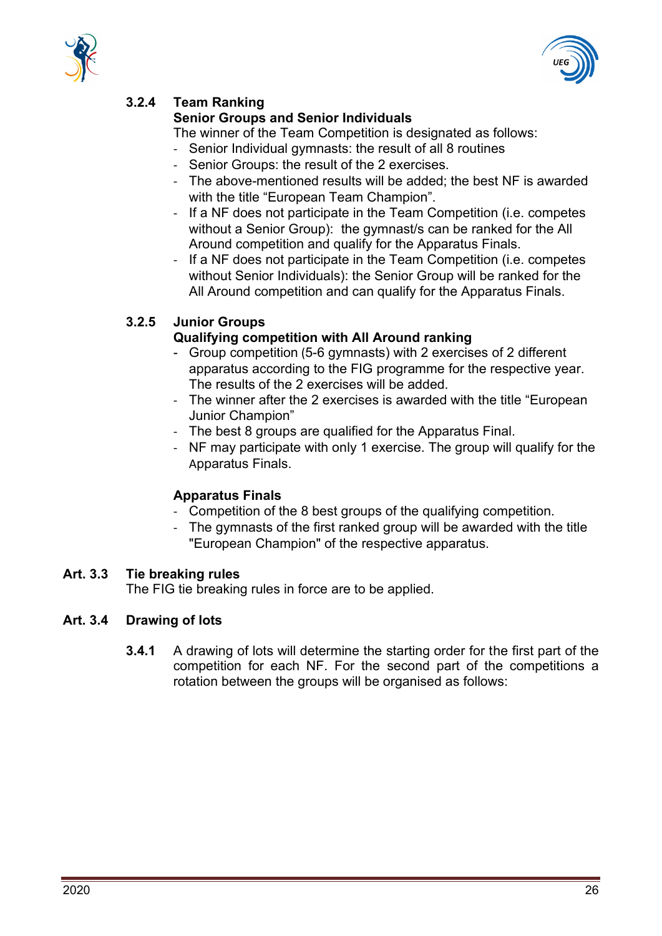



# **3.2.4 Team Ranking**

# **Senior Groups and Senior Individuals**

The winner of the Team Competition is designated as follows:

- Senior Individual gymnasts: the result of all 8 routines
- Senior Groups: the result of the 2 exercises.
- The above-mentioned results will be added; the best NF is awarded with the title "European Team Champion".
- If a NF does not participate in the Team Competition (i.e. competes without a Senior Group): the gymnast/s can be ranked for the All Around competition and qualify for the Apparatus Finals.
- If a NF does not participate in the Team Competition (i.e. competes without Senior Individuals): the Senior Group will be ranked for the All Around competition and can qualify for the Apparatus Finals.

# **3.2.5 Junior Groups**

# **Qualifying competition with All Around ranking**

- Group competition (5-6 gymnasts) with 2 exercises of 2 different apparatus according to the FIG programme for the respective year. The results of the 2 exercises will be added.
- The winner after the 2 exercises is awarded with the title "European Junior Champion"
- The best 8 groups are qualified for the Apparatus Final.
- NF may participate with only 1 exercise. The group will qualify for the Apparatus Finals.

# **Apparatus Finals**

- Competition of the 8 best groups of the qualifying competition.
- The gymnasts of the first ranked group will be awarded with the title "European Champion" of the respective apparatus.

# **Art. 3.3 Tie breaking rules**

The FIG tie breaking rules in force are to be applied.

# **Art. 3.4 Drawing of lots**

**3.4.1** A drawing of lots will determine the starting order for the first part of the competition for each NF. For the second part of the competitions a rotation between the groups will be organised as follows: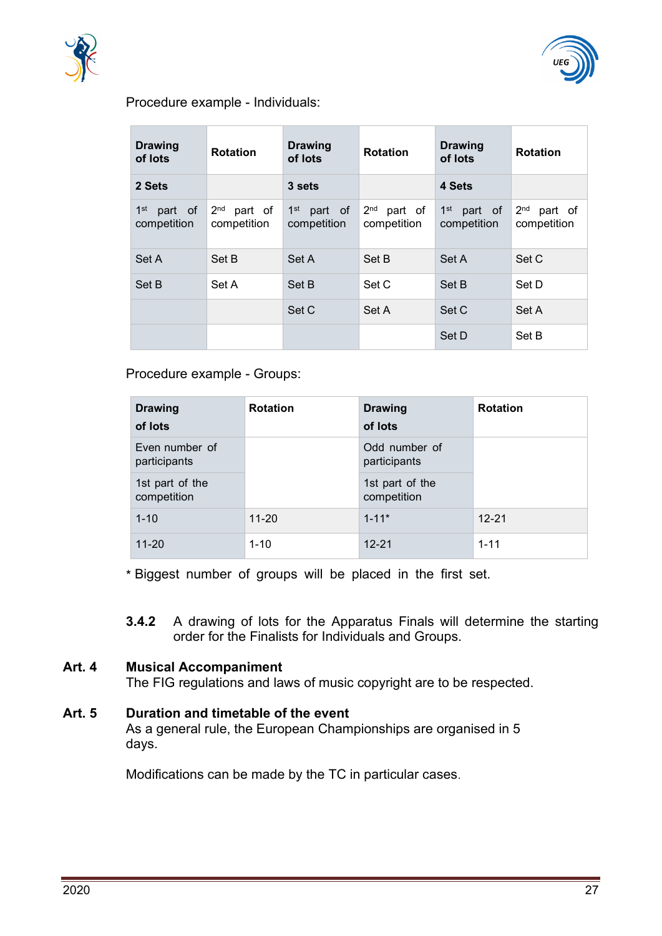



#### Procedure example - Individuals:

| <b>Drawing</b><br>of lots                 | <b>Rotation</b>                           | <b>Drawing</b><br>of lots                 | <b>Rotation</b>                           | <b>Drawing</b><br>of lots                 | <b>Rotation</b>                           |
|-------------------------------------------|-------------------------------------------|-------------------------------------------|-------------------------------------------|-------------------------------------------|-------------------------------------------|
| 2 Sets                                    |                                           | 3 sets                                    |                                           | 4 Sets                                    |                                           |
| 1 <sup>st</sup><br>part of<br>competition | 2 <sub>nd</sub><br>part of<br>competition | 1 <sup>st</sup><br>part of<br>competition | 2 <sub>nd</sub><br>part of<br>competition | 1 <sup>st</sup><br>part of<br>competition | 2 <sub>nd</sub><br>part of<br>competition |
| Set A                                     | Set B                                     | Set A                                     | Set B                                     | Set A                                     | Set C                                     |
| Set B                                     | Set A                                     | Set B                                     | Set C                                     | Set B                                     | Set D                                     |
|                                           |                                           | Set C                                     | Set A                                     | Set C                                     | Set A                                     |
|                                           |                                           |                                           |                                           | Set D                                     | Set B                                     |

### Procedure example - Groups:

| <b>Drawing</b><br>of lots      | <b>Rotation</b> | <b>Drawing</b><br>of lots      | <b>Rotation</b> |
|--------------------------------|-----------------|--------------------------------|-----------------|
| Even number of<br>participants |                 | Odd number of<br>participants  |                 |
| 1st part of the<br>competition |                 | 1st part of the<br>competition |                 |
| $1 - 10$                       | $11 - 20$       | $1 - 11*$                      | $12 - 21$       |
| $11 - 20$                      | $1 - 10$        | $12 - 21$                      | $1 - 11$        |

\* Biggest number of groups will be placed in the first set.

**3.4.2** A drawing of lots for the Apparatus Finals will determine the starting order for the Finalists for Individuals and Groups.

# <span id="page-26-0"></span>**Art. 4 Musical Accompaniment**

The FIG regulations and laws of music copyright are to be respected.

<span id="page-26-1"></span>**Art. 5 Duration and timetable of the event** As a general rule, the European Championships are organised in 5 days.

Modifications can be made by the TC in particular cases.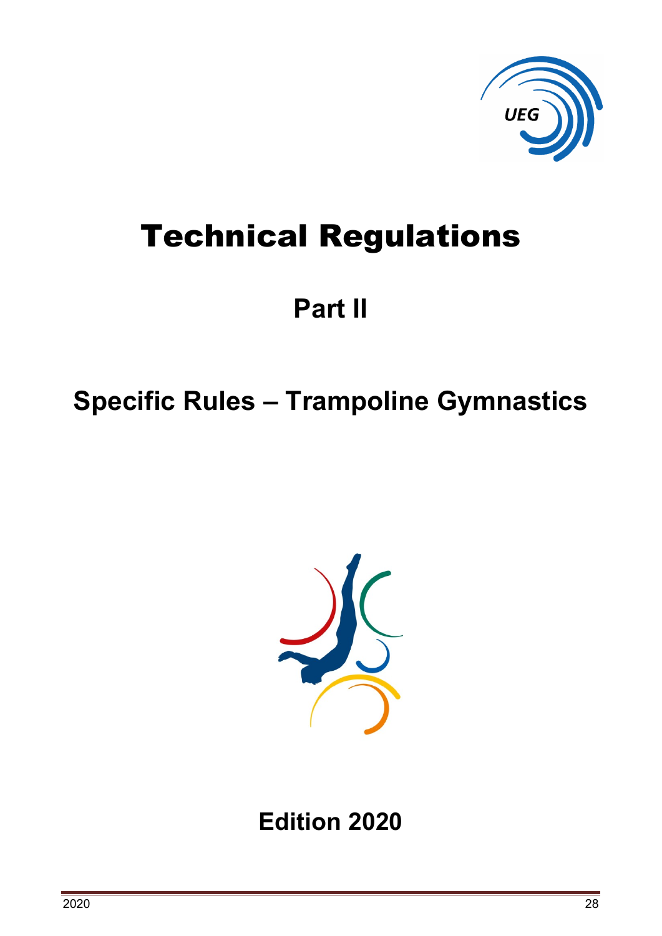

# Technical Regulations

# **Part II**

# <span id="page-27-0"></span>**Specific Rules – Trampoline Gymnastics**



**Edition 2020**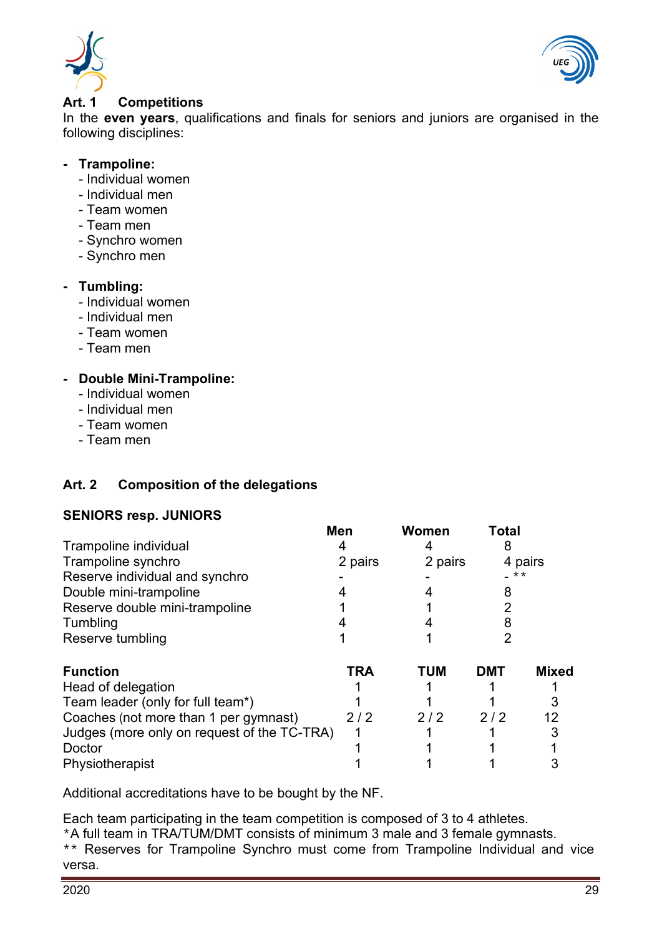



#### <span id="page-28-0"></span>**Art. 1 Competitions**

In the **even years**, qualifications and finals for seniors and juniors are organised in the following disciplines:

### **- Trampoline:**

- Individual women
- Individual men
- Team women
- Team men
- Synchro women
- Synchro men

# **- Tumbling:**

- Individual women
- Individual men
- Team women
- Team men

# **- Double Mini-Trampoline:**

- Individual women
- Individual men
- Team women
- Team men

# <span id="page-28-1"></span>**Art. 2 Composition of the delegations**

# **SENIORS resp. JUNIORS**

|                                             | <b>Men</b> | Women      | Total |              |
|---------------------------------------------|------------|------------|-------|--------------|
| Trampoline individual                       |            |            |       |              |
| Trampoline synchro                          | 2 pairs    | 2 pairs    |       | 4 pairs      |
| Reserve individual and synchro              |            |            | **    |              |
| Double mini-trampoline                      |            |            | 8     |              |
| Reserve double mini-trampoline              |            |            |       |              |
| Tumbling                                    |            |            |       |              |
| Reserve tumbling                            |            |            |       |              |
| <b>Function</b>                             | <b>TRA</b> | <b>TUM</b> | DMT   | <b>Mixed</b> |
| Head of delegation                          |            |            |       |              |
| Team leader (only for full team*)           |            |            |       |              |
| Coaches (not more than 1 per gymnast)       | 2/2        | 2/2        | 2/2   |              |
| Judges (more only on request of the TC-TRA) |            |            |       |              |
| Doctor                                      |            |            |       |              |
| Physiotherapist                             |            |            |       |              |

Additional accreditations have to be bought by the NF.

Each team participating in the team competition is composed of 3 to 4 athletes.

\*A full team in TRA/TUM/DMT consists of minimum 3 male and 3 female gymnasts. \*\* Reserves for Trampoline Synchro must come from Trampoline Individual and vice

versa.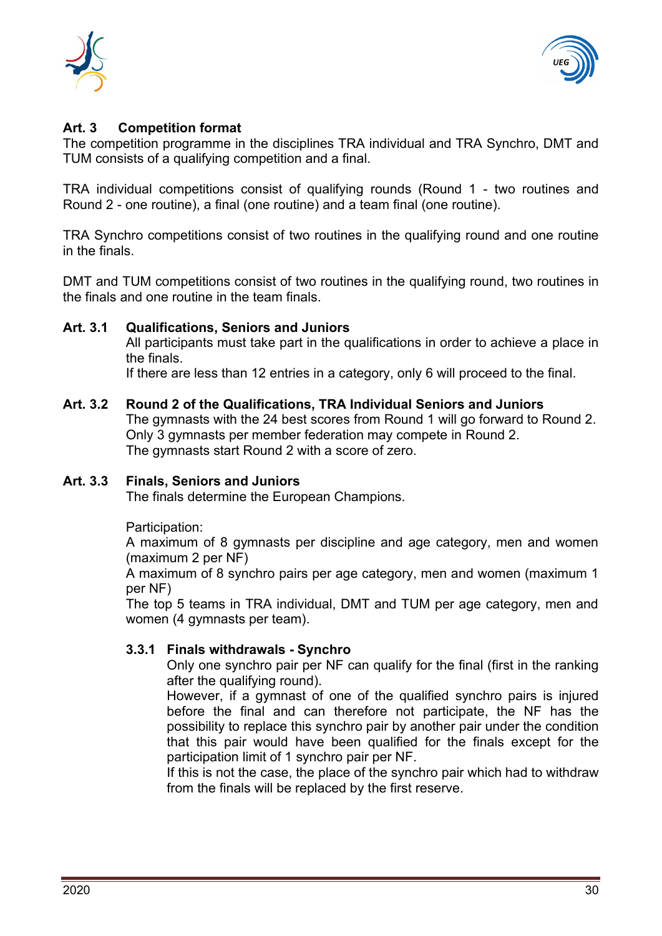



## <span id="page-29-0"></span>**Art. 3 Competition format**

The competition programme in the disciplines TRA individual and TRA Synchro, DMT and TUM consists of a qualifying competition and a final.

TRA individual competitions consist of qualifying rounds (Round 1 - two routines and Round 2 - one routine), a final (one routine) and a team final (one routine).

TRA Synchro competitions consist of two routines in the qualifying round and one routine in the finals.

DMT and TUM competitions consist of two routines in the qualifying round, two routines in the finals and one routine in the team finals.

### **Art. 3.1 Qualifications, Seniors and Juniors**

All participants must take part in the qualifications in order to achieve a place in the finals.

If there are less than 12 entries in a category, only 6 will proceed to the final.

#### **Art. 3.2 Round 2 of the Qualifications, TRA Individual Seniors and Juniors**

The gymnasts with the 24 best scores from Round 1 will go forward to Round 2. Only 3 gymnasts per member federation may compete in Round 2. The gymnasts start Round 2 with a score of zero.

#### **Art. 3.3 Finals, Seniors and Juniors**

The finals determine the European Champions.

Participation:

A maximum of 8 gymnasts per discipline and age category, men and women (maximum 2 per NF)

A maximum of 8 synchro pairs per age category, men and women (maximum 1 per NF)

The top 5 teams in TRA individual, DMT and TUM per age category, men and women (4 gymnasts per team).

#### **3.3.1 Finals withdrawals - Synchro**

Only one synchro pair per NF can qualify for the final (first in the ranking after the qualifying round).

However, if a gymnast of one of the qualified synchro pairs is injured before the final and can therefore not participate, the NF has the possibility to replace this synchro pair by another pair under the condition that this pair would have been qualified for the finals except for the participation limit of 1 synchro pair per NF.

If this is not the case, the place of the synchro pair which had to withdraw from the finals will be replaced by the first reserve.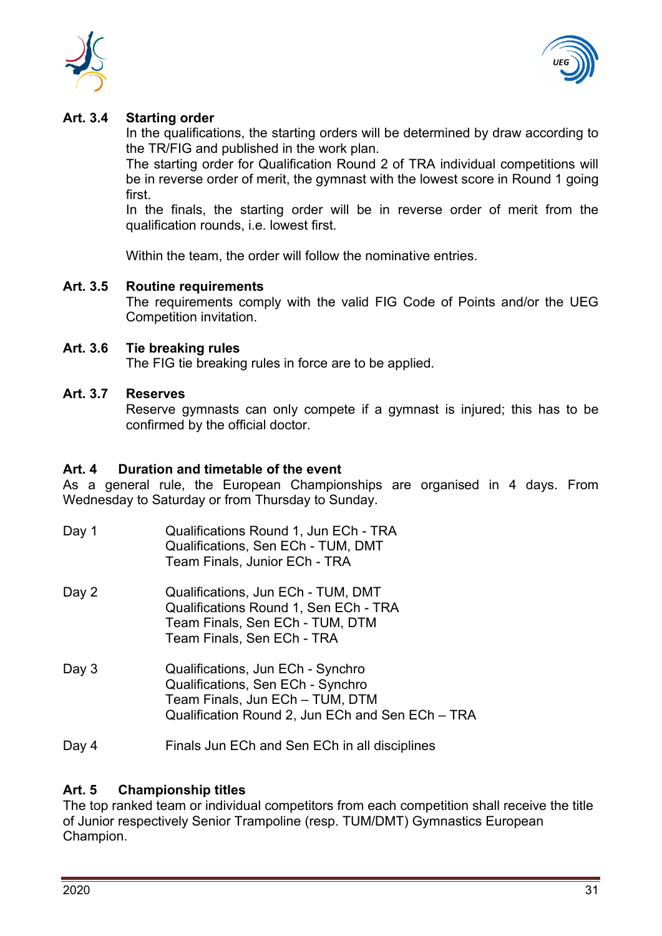



# **Art. 3.4 Starting order**

In the qualifications, the starting orders will be determined by draw according to the TR/FIG and published in the work plan.

The starting order for Qualification Round 2 of TRA individual competitions will be in reverse order of merit, the gymnast with the lowest score in Round 1 going first.

In the finals, the starting order will be in reverse order of merit from the qualification rounds, i.e. lowest first.

Within the team, the order will follow the nominative entries.

### **Art. 3.5 Routine requirements**

The requirements comply with the valid FIG Code of Points and/or the UEG Competition invitation.

### **Art. 3.6 Tie breaking rules**

The FIG tie breaking rules in force are to be applied.

#### **Art. 3.7 Reserves**

Reserve gymnasts can only compete if a gymnast is injured; this has to be confirmed by the official doctor.

#### <span id="page-30-0"></span>**Art. 4 Duration and timetable of the event**

As a general rule, the European Championships are organised in 4 days. From Wednesday to Saturday or from Thursday to Sunday.

| Day 1 | Qualifications Round 1, Jun ECh - TRA<br>Qualifications, Sen ECh - TUM, DMT<br>Team Finals, Junior ECh - TRA                                                  |
|-------|---------------------------------------------------------------------------------------------------------------------------------------------------------------|
| Day 2 | Qualifications, Jun ECh - TUM, DMT<br>Qualifications Round 1, Sen ECh - TRA<br>Team Finals, Sen ECh - TUM, DTM<br>Team Finals, Sen ECh - TRA                  |
| Day 3 | Qualifications, Jun ECh - Synchro<br>Qualifications, Sen ECh - Synchro<br>Team Finals, Jun ECh - TUM, DTM<br>Qualification Round 2, Jun ECh and Sen ECh - TRA |

Day 4 Finals Jun ECh and Sen ECh in all disciplines

# <span id="page-30-1"></span>**Art. 5 Championship titles**

The top ranked team or individual competitors from each competition shall receive the title of Junior respectively Senior Trampoline (resp. TUM/DMT) Gymnastics European Champion.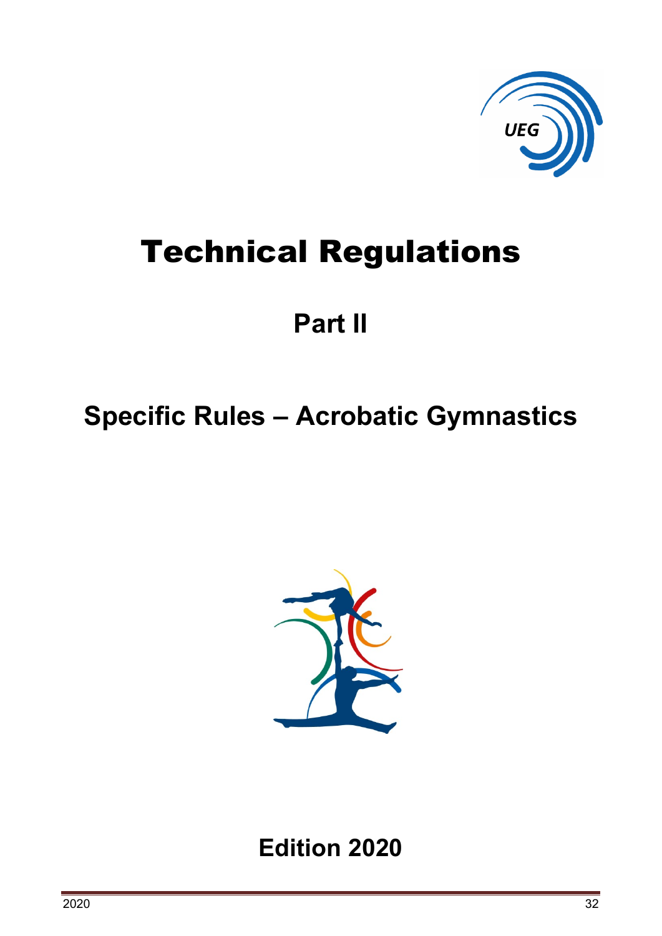

# Technical Regulations

# **Part II**

# <span id="page-31-0"></span>**Specific Rules – Acrobatic Gymnastics**



**Edition 2020**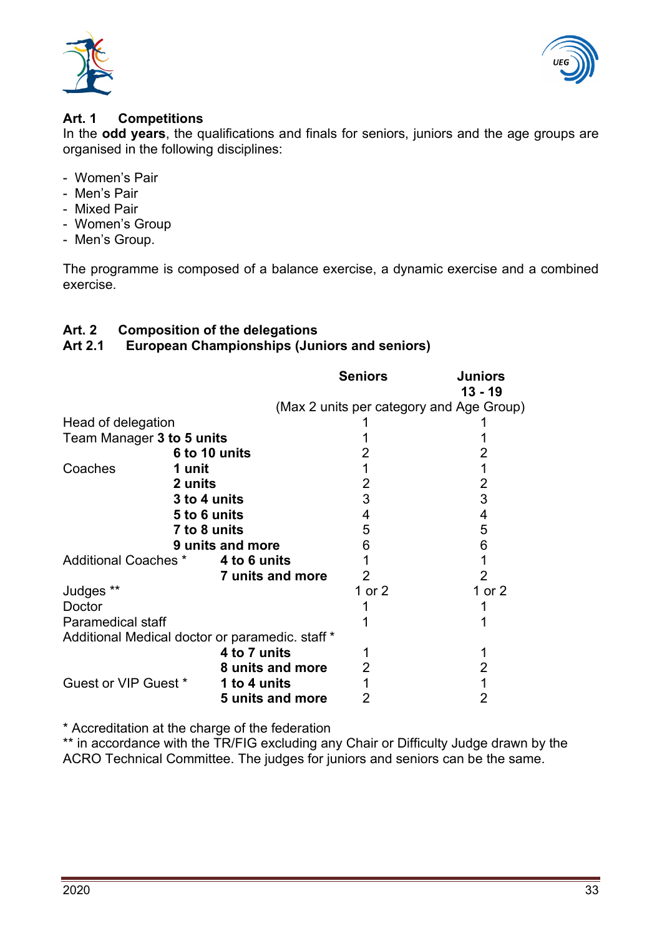



## <span id="page-32-0"></span>**Art. 1 Competitions**

In the **odd years**, the qualifications and finals for seniors, juniors and the age groups are organised in the following disciplines:

- Women's Pair
- Men's Pair
- Mixed Pair
- Women's Group
- Men's Group.

The programme is composed of a balance exercise, a dynamic exercise and a combined exercise.

# <span id="page-32-1"></span>**Art. 2 Composition of the delegations**

#### **Art 2.1 European Championships (Juniors and seniors)**

|                                                 |                  |                  | <b>Seniors</b> | <b>Juniors</b><br>$13 - 19$              |
|-------------------------------------------------|------------------|------------------|----------------|------------------------------------------|
|                                                 |                  |                  |                | (Max 2 units per category and Age Group) |
| Head of delegation                              |                  |                  |                |                                          |
| Team Manager 3 to 5 units                       |                  |                  |                |                                          |
|                                                 | 6 to 10 units    |                  |                |                                          |
| Coaches                                         | 1 unit           |                  |                |                                          |
|                                                 | 2 units          |                  | 2              | 2                                        |
|                                                 | 3 to 4 units     |                  | 3              | 3                                        |
|                                                 | 5 to 6 units     |                  | 4              | 4                                        |
|                                                 | 7 to 8 units     |                  | 5              | 5                                        |
|                                                 | 9 units and more |                  | 6              | 6                                        |
| Additional Coaches *                            |                  | 4 to 6 units     |                |                                          |
|                                                 |                  | 7 units and more | 2              | 2                                        |
| Judges **                                       |                  |                  | 1 or $2$       | 1 or $2$                                 |
| Doctor                                          |                  |                  |                |                                          |
| <b>Paramedical staff</b>                        |                  |                  |                |                                          |
| Additional Medical doctor or paramedic. staff * |                  |                  |                |                                          |
|                                                 |                  | 4 to 7 units     |                |                                          |
|                                                 |                  | 8 units and more | 2              | 2                                        |
| Guest or VIP Guest *                            |                  | 1 to 4 units     |                |                                          |
|                                                 |                  | 5 units and more |                |                                          |

\* Accreditation at the charge of the federation

\*\* in accordance with the TR/FIG excluding any Chair or Difficulty Judge drawn by the ACRO Technical Committee. The judges for juniors and seniors can be the same.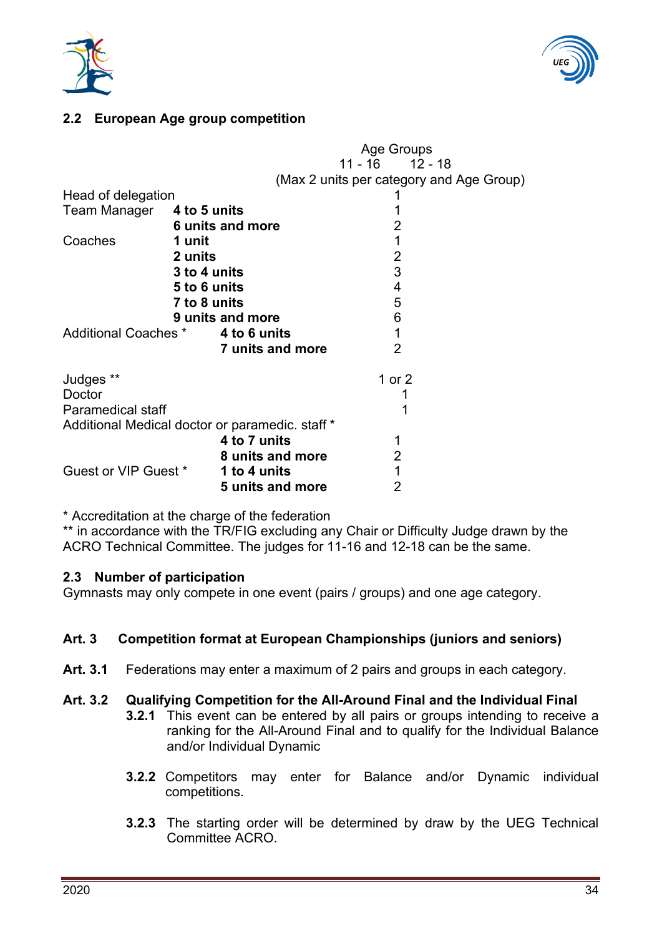



# **2.2 European Age group competition**

|                                                 |                  | Age Groups          |                                          |  |
|-------------------------------------------------|------------------|---------------------|------------------------------------------|--|
|                                                 |                  | $11 - 16$ $12 - 18$ |                                          |  |
|                                                 |                  |                     | (Max 2 units per category and Age Group) |  |
| Head of delegation                              |                  |                     |                                          |  |
| Team Manager 4 to 5 units                       |                  |                     |                                          |  |
|                                                 | 6 units and more | 2                   |                                          |  |
| Coaches                                         | 1 unit           | 1                   |                                          |  |
|                                                 | 2 units          | $\overline{2}$      |                                          |  |
|                                                 | 3 to 4 units     | 3                   |                                          |  |
|                                                 | 5 to 6 units     | 4                   |                                          |  |
|                                                 | 7 to 8 units     | 5                   |                                          |  |
|                                                 | 9 units and more | 6                   |                                          |  |
| <b>Additional Coaches *</b>                     | 4 to 6 units     | 1                   |                                          |  |
|                                                 | 7 units and more | 2                   |                                          |  |
| Judges **                                       |                  | 1 or $2$            |                                          |  |
| Doctor                                          |                  |                     |                                          |  |
| <b>Paramedical staff</b>                        |                  |                     |                                          |  |
| Additional Medical doctor or paramedic. staff * |                  |                     |                                          |  |
|                                                 | 4 to 7 units     |                     |                                          |  |
|                                                 | 8 units and more | $\overline{2}$      |                                          |  |
| Guest or VIP Guest *                            | 1 to 4 units     | 1                   |                                          |  |
|                                                 | 5 units and more | $\overline{2}$      |                                          |  |
|                                                 |                  |                     |                                          |  |

\* Accreditation at the charge of the federation

\*\* in accordance with the TR/FIG excluding any Chair or Difficulty Judge drawn by the ACRO Technical Committee. The judges for 11-16 and 12-18 can be the same.

#### **2.3 Number of participation**

Gymnasts may only compete in one event (pairs / groups) and one age category.

#### <span id="page-33-0"></span>**Art. 3 Competition format at European Championships (juniors and seniors)**

**Art. 3.1** Federations may enter a maximum of 2 pairs and groups in each category.

#### **Art. 3.2 Qualifying Competition for the All-Around Final and the Individual Final**

- **3.2.1** This event can be entered by all pairs or groups intending to receive a ranking for the All-Around Final and to qualify for the Individual Balance and/or Individual Dynamic
- **3.2.2** Competitors may enter for Balance and/or Dynamic individual competitions.
- **3.2.3** The starting order will be determined by draw by the UEG Technical Committee ACRO.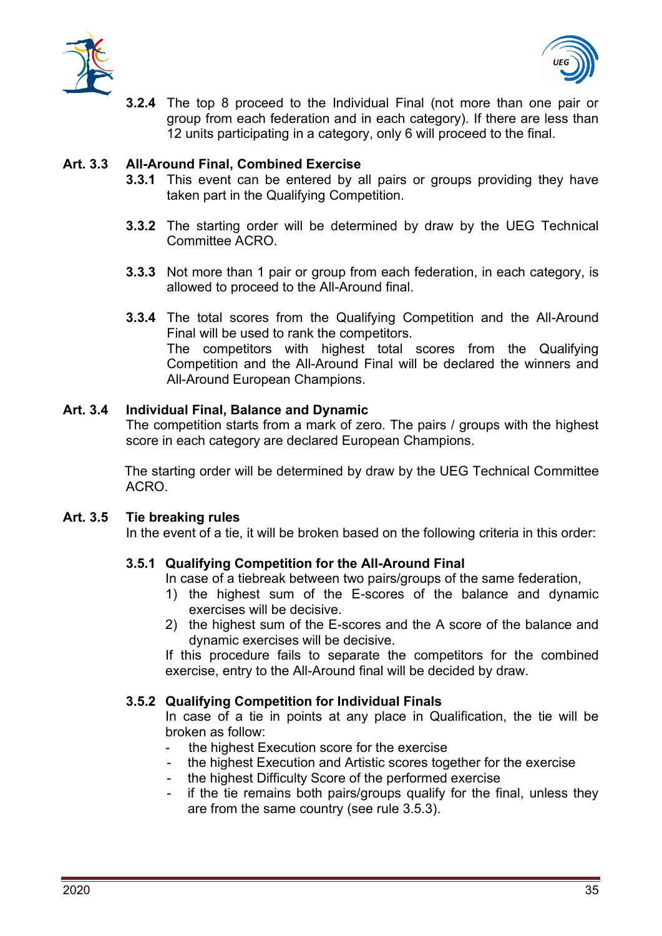



**3.2.4** The top 8 proceed to the Individual Final (not more than one pair or group from each federation and in each category). If there are less than 12 units participating in a category, only 6 will proceed to the final.

## **Art. 3.3 All-Around Final, Combined Exercise**

- **3.3.1** This event can be entered by all pairs or groups providing they have taken part in the Qualifying Competition.
- **3.3.2** The starting order will be determined by draw by the UEG Technical Committee ACRO.
- **3.3.3** Not more than 1 pair or group from each federation, in each category, is allowed to proceed to the All-Around final.
- **3.3.4** The total scores from the Qualifying Competition and the All-Around Final will be used to rank the competitors. The competitors with highest total scores from the Qualifying Competition and the All-Around Final will be declared the winners and All-Around European Champions.

### **Art. 3.4 Individual Final, Balance and Dynamic**

The competition starts from a mark of zero. The pairs / groups with the highest score in each category are declared European Champions.

The starting order will be determined by draw by the UEG Technical Committee ACRO.

#### **Art. 3.5 Tie breaking rules**

In the event of a tie, it will be broken based on the following criteria in this order:

# **3.5.1 Qualifying Competition for the All-Around Final**

- In case of a tiebreak between two pairs/groups of the same federation,
- 1) the highest sum of the E-scores of the balance and dynamic exercises will be decisive.
- 2) the highest sum of the E-scores and the A score of the balance and dynamic exercises will be decisive.

If this procedure fails to separate the competitors for the combined exercise, entry to the All-Around final will be decided by draw.

#### **3.5.2 Qualifying Competition for Individual Finals**

In case of a tie in points at any place in Qualification, the tie will be broken as follow:

- the highest Execution score for the exercise
- the highest Execution and Artistic scores together for the exercise
- the highest Difficulty Score of the performed exercise
- if the tie remains both pairs/groups qualify for the final, unless they are from the same country (see rule 3.5.3).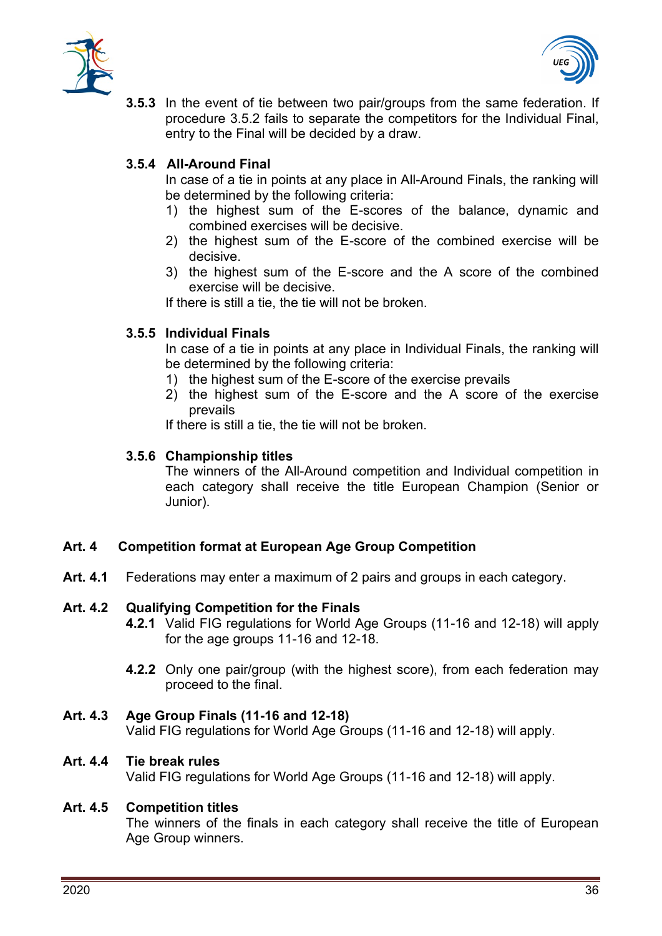



**3.5.3** In the event of tie between two pair/groups from the same federation. If procedure 3.5.2 fails to separate the competitors for the Individual Final, entry to the Final will be decided by a draw.

# **3.5.4 All-Around Final**

In case of a tie in points at any place in All-Around Finals, the ranking will be determined by the following criteria:

- 1) the highest sum of the E-scores of the balance, dynamic and combined exercises will be decisive.
- 2) the highest sum of the E-score of the combined exercise will be decisive.
- 3) the highest sum of the E-score and the A score of the combined exercise will be decisive.

If there is still a tie, the tie will not be broken.

# **3.5.5 Individual Finals**

In case of a tie in points at any place in Individual Finals, the ranking will be determined by the following criteria:

- 1) the highest sum of the E-score of the exercise prevails
- 2) the highest sum of the E-score and the A score of the exercise prevails

If there is still a tie, the tie will not be broken.

# **3.5.6 Championship titles**

The winners of the All-Around competition and Individual competition in each category shall receive the title European Champion (Senior or Junior).

# <span id="page-35-0"></span>**Art. 4 Competition format at European Age Group Competition**

**Art. 4.1** Federations may enter a maximum of 2 pairs and groups in each category.

# **Art. 4.2 Qualifying Competition for the Finals**

- **4.2.1** Valid FIG regulations for World Age Groups (11-16 and 12-18) will apply for the age groups 11-16 and 12-18.
- **4.2.2** Only one pair/group (with the highest score), from each federation may proceed to the final.

# **Art. 4.3 Age Group Finals (11-16 and 12-18)**

Valid FIG regulations for World Age Groups (11-16 and 12-18) will apply.

#### **Art. 4.4 Tie break rules**

Valid FIG regulations for World Age Groups (11-16 and 12-18) will apply.

# **Art. 4.5 Competition titles**

The winners of the finals in each category shall receive the title of European Age Group winners.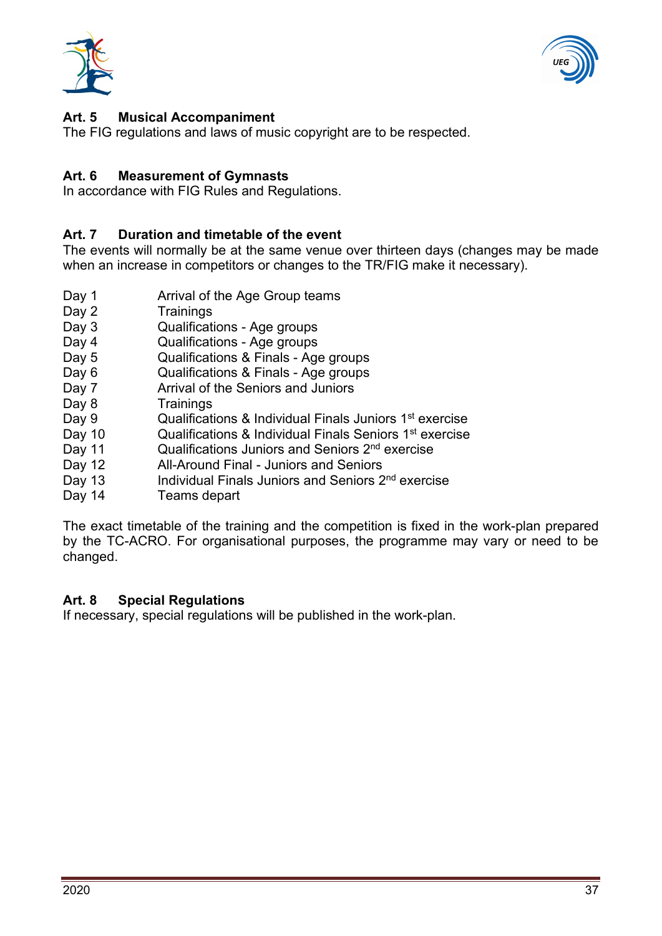



# <span id="page-36-0"></span>**Art. 5 Musical Accompaniment**

The FIG regulations and laws of music copyright are to be respected.

#### <span id="page-36-1"></span>**Art. 6 Measurement of Gymnasts**

In accordance with FIG Rules and Regulations.

#### <span id="page-36-2"></span>**Art. 7 Duration and timetable of the event**

The events will normally be at the same venue over thirteen days (changes may be made when an increase in competitors or changes to the TR/FIG make it necessary).

- Day 1 **Arrival of the Age Group teams**
- Day 2 Trainings
- Day 3 Cualifications Age groups
- Day 4 Qualifications Age groups
- Day 5 Qualifications & Finals Age groups
- Day 6 Cualifications & Finals Age groups
- Day 7 **Arrival of the Seniors and Juniors**
- Day 8 Trainings
- Day 9 Cualifications & Individual Finals Juniors 1<sup>st</sup> exercise
- Day 10 Cualifications & Individual Finals Seniors 1<sup>st</sup> exercise
- Day 11 Cualifications Juniors and Seniors 2<sup>nd</sup> exercise
- Day 12 **All-Around Final Juniors and Seniors**
- Day 13 **Individual Finals Juniors and Seniors 2<sup>nd</sup> exercise**
- Day 14 Teams depart

The exact timetable of the training and the competition is fixed in the work-plan prepared by the TC-ACRO. For organisational purposes, the programme may vary or need to be changed.

#### <span id="page-36-3"></span>**Art. 8 Special Regulations**

If necessary, special regulations will be published in the work-plan.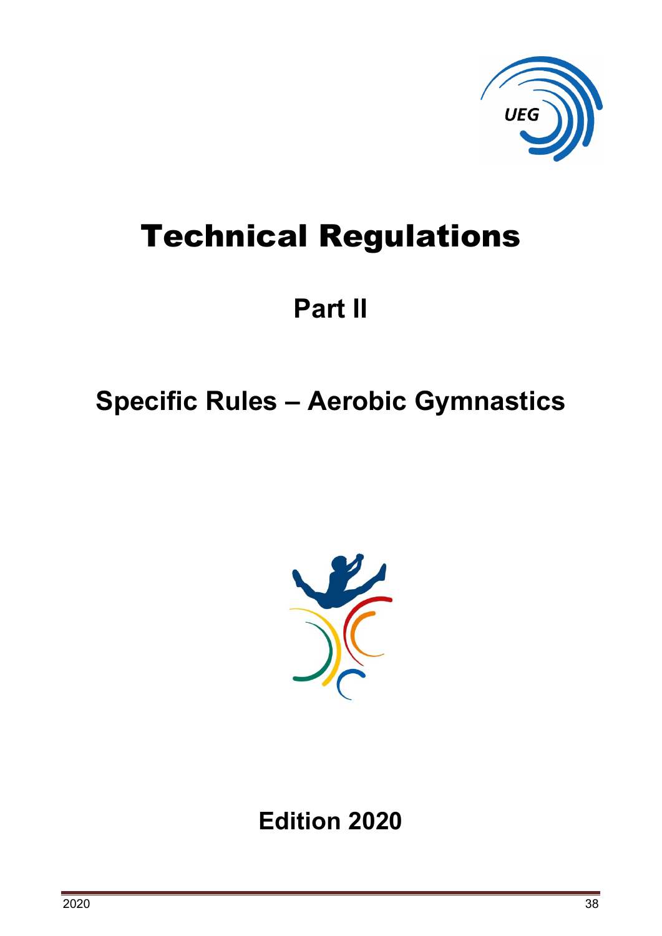

# Technical Regulations

# **Part II**

# <span id="page-37-0"></span>**Specific Rules – Aerobic Gymnastics**



**Edition 2020**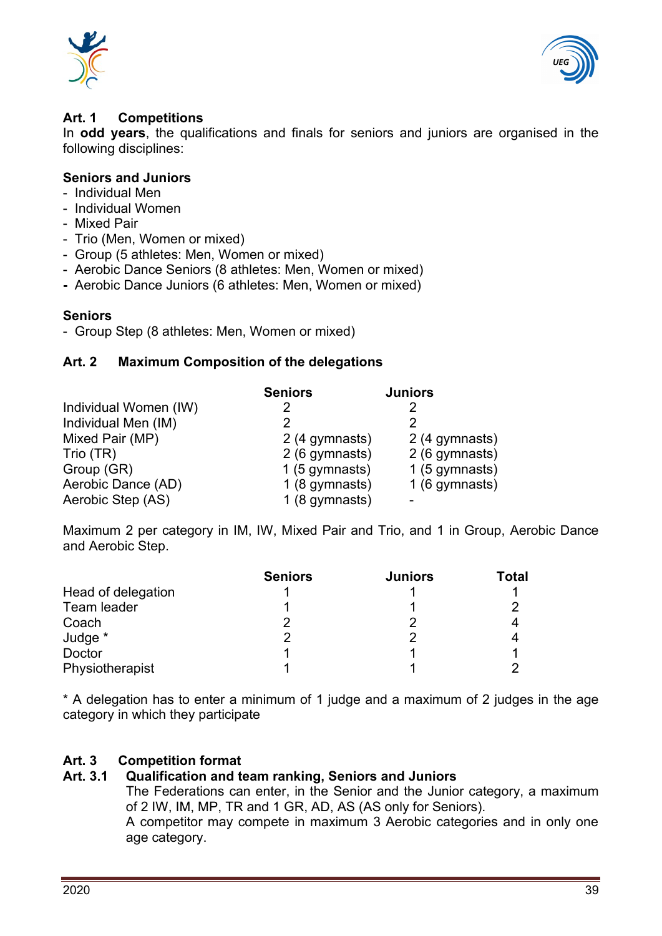



## <span id="page-38-0"></span>**Art. 1 Competitions**

In **odd years**, the qualifications and finals for seniors and juniors are organised in the following disciplines:

## **Seniors and Juniors**

- Individual Men
- Individual Women
- Mixed Pair
- Trio (Men, Women or mixed)
- Group (5 athletes: Men, Women or mixed)
- Aerobic Dance Seniors (8 athletes: Men, Women or mixed)
- Aerobic Dance Juniors (6 athletes: Men, Women or mixed)

### **Seniors**

- Group Step (8 athletes: Men, Women or mixed)

### <span id="page-38-1"></span>**Art. 2 Maximum Composition of the delegations**

|                       | <b>Seniors</b> | <b>Juniors</b> |
|-----------------------|----------------|----------------|
| Individual Women (IW) |                | 2              |
| Individual Men (IM)   |                | 2              |
| Mixed Pair (MP)       | 2 (4 gymnasts) | 2 (4 gymnasts) |
| Trio (TR)             | 2 (6 gymnasts) | 2 (6 gymnasts) |
| Group (GR)            | 1 (5 gymnasts) | 1 (5 gymnasts) |
| Aerobic Dance (AD)    | 1 (8 gymnasts) | 1 (6 gymnasts) |
| Aerobic Step (AS)     | 1 (8 gymnasts) |                |

Maximum 2 per category in IM, IW, Mixed Pair and Trio, and 1 in Group, Aerobic Dance and Aerobic Step.

|                    | <b>Seniors</b> | <b>Juniors</b> | <b>Total</b> |
|--------------------|----------------|----------------|--------------|
| Head of delegation |                |                |              |
| Team leader        |                |                |              |
| Coach              |                |                |              |
| Judge *            |                |                |              |
| Doctor             |                |                |              |
| Physiotherapist    |                |                |              |

\* A delegation has to enter a minimum of 1 judge and a maximum of 2 judges in the age category in which they participate

# <span id="page-38-2"></span>**Art. 3 Competition format**

#### **Art. 3.1 Qualification and team ranking, Seniors and Juniors**

The Federations can enter, in the Senior and the Junior category, a maximum of 2 IW, IM, MP, TR and 1 GR, AD, AS (AS only for Seniors).

A competitor may compete in maximum 3 Aerobic categories and in only one age category.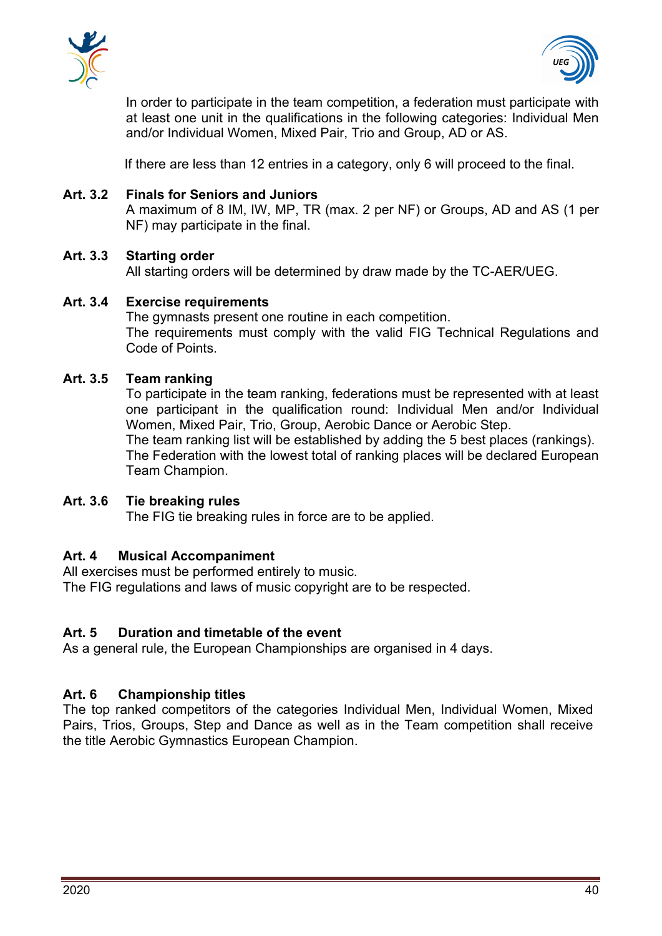



In order to participate in the team competition, a federation must participate with at least one unit in the qualifications in the following categories: Individual Men and/or Individual Women, Mixed Pair, Trio and Group, AD or AS.

If there are less than 12 entries in a category, only 6 will proceed to the final.

#### **Art. 3.2 Finals for Seniors and Juniors**

A maximum of 8 IM, IW, MP, TR (max. 2 per NF) or Groups, AD and AS (1 per NF) may participate in the final.

### **Art. 3.3 Starting order**

All starting orders will be determined by draw made by the TC-AER/UEG.

# **Art. 3.4 Exercise requirements** The gymnasts present one routine in each competition.

The requirements must comply with the valid FIG Technical Regulations and Code of Points.

# **Art. 3.5 Team ranking**

To participate in the team ranking, federations must be represented with at least one participant in the qualification round: Individual Men and/or Individual Women, Mixed Pair, Trio, Group, Aerobic Dance or Aerobic Step. The team ranking list will be established by adding the 5 best places (rankings).

The Federation with the lowest total of ranking places will be declared European Team Champion.

# **Art. 3.6 Tie breaking rules**

The FIG tie breaking rules in force are to be applied.

# <span id="page-39-0"></span>**Art. 4 Musical Accompaniment**

All exercises must be performed entirely to music. The FIG regulations and laws of music copyright are to be respected.

# <span id="page-39-1"></span>**Art. 5 Duration and timetable of the event**

As a general rule, the European Championships are organised in 4 days.

# <span id="page-39-2"></span>**Art. 6 Championship titles**

The top ranked competitors of the categories Individual Men, Individual Women, Mixed Pairs, Trios, Groups, Step and Dance as well as in the Team competition shall receive the title Aerobic Gymnastics European Champion.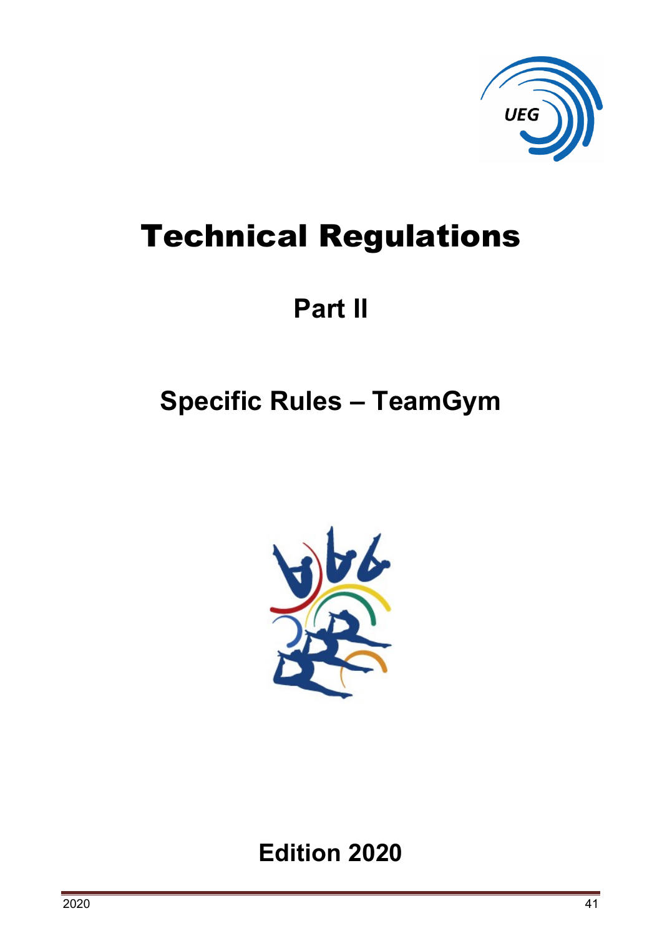

# Technical Regulations

# **Part II**

# <span id="page-40-0"></span>**Specific Rules – TeamGym**



# **Edition 2020**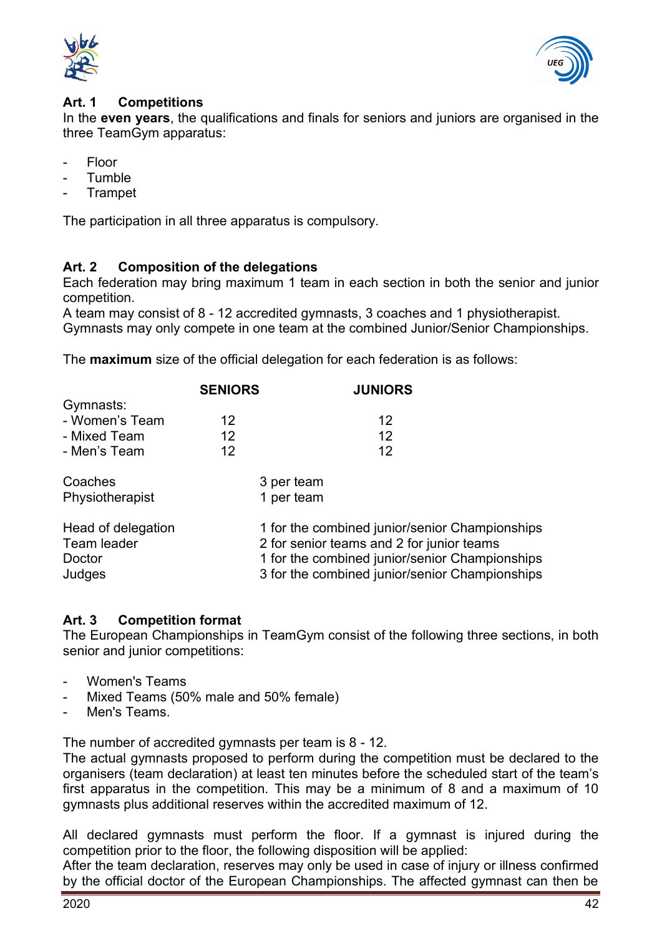



#### <span id="page-41-0"></span>**Art. 1 Competitions**

In the **even years**, the qualifications and finals for seniors and juniors are organised in the three TeamGym apparatus:

- Floor
- **Tumble**
- **Trampet**

The participation in all three apparatus is compulsory.

# <span id="page-41-1"></span>**Art. 2 Composition of the delegations**

Each federation may bring maximum 1 team in each section in both the senior and junior competition.

A team may consist of 8 - 12 accredited gymnasts, 3 coaches and 1 physiotherapist. Gymnasts may only compete in one team at the combined Junior/Senior Championships.

The **maximum** size of the official delegation for each federation is as follows:

|                                   | <b>SENIORS</b> | <b>JUNIORS</b>                                                                                   |
|-----------------------------------|----------------|--------------------------------------------------------------------------------------------------|
| Gymnasts:                         |                |                                                                                                  |
| - Women's Team                    | 12             | 12                                                                                               |
| - Mixed Team                      | 12             | 12                                                                                               |
| - Men's Team                      | 12             | 12                                                                                               |
| Coaches                           |                | 3 per team                                                                                       |
| Physiotherapist                   |                | 1 per team                                                                                       |
| Head of delegation<br>Team leader |                | 1 for the combined junior/senior Championships<br>2 for senior teams and 2 for junior teams      |
| Doctor<br>Judges                  |                | 1 for the combined junior/senior Championships<br>3 for the combined junior/senior Championships |

# <span id="page-41-2"></span>**Art. 3 Competition format**

The European Championships in TeamGym consist of the following three sections, in both senior and junior competitions:

- Women's Teams
- Mixed Teams (50% male and 50% female)
- Men's Teams.

The number of accredited gymnasts per team is 8 - 12.

The actual gymnasts proposed to perform during the competition must be declared to the organisers (team declaration) at least ten minutes before the scheduled start of the team's first apparatus in the competition. This may be a minimum of 8 and a maximum of 10 gymnasts plus additional reserves within the accredited maximum of 12.

All declared gymnasts must perform the floor. If a gymnast is injured during the competition prior to the floor, the following disposition will be applied:

After the team declaration, reserves may only be used in case of injury or illness confirmed by the official doctor of the European Championships. The affected gymnast can then be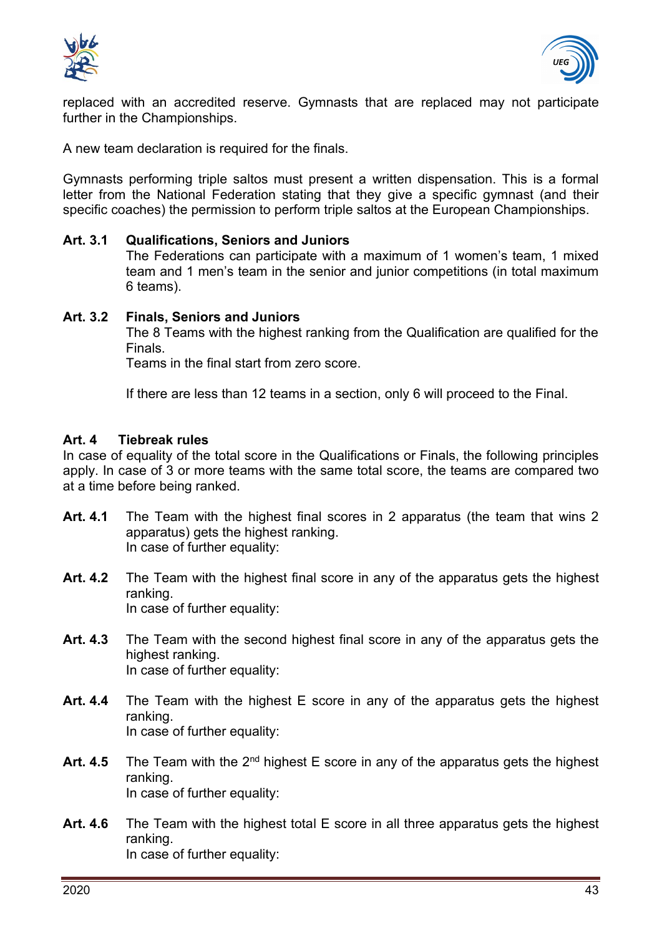



replaced with an accredited reserve. Gymnasts that are replaced may not participate further in the Championships.

A new team declaration is required for the finals.

Gymnasts performing triple saltos must present a written dispensation. This is a formal letter from the National Federation stating that they give a specific gymnast (and their specific coaches) the permission to perform triple saltos at the European Championships.

#### **Art. 3.1 Qualifications, Seniors and Juniors**

The Federations can participate with a maximum of 1 women's team, 1 mixed team and 1 men's team in the senior and junior competitions (in total maximum 6 teams).

#### **Art. 3.2 Finals, Seniors and Juniors**

The 8 Teams with the highest ranking from the Qualification are qualified for the **Finals** 

Teams in the final start from zero score.

If there are less than 12 teams in a section, only 6 will proceed to the Final.

#### <span id="page-42-0"></span>**Art. 4 Tiebreak rules**

In case of equality of the total score in the Qualifications or Finals, the following principles apply. In case of 3 or more teams with the same total score, the teams are compared two at a time before being ranked.

- **Art. 4.1** The Team with the highest final scores in 2 apparatus (the team that wins 2 apparatus) gets the highest ranking. In case of further equality:
- **Art. 4.2** The Team with the highest final score in any of the apparatus gets the highest ranking. In case of further equality:
- **Art. 4.3** The Team with the second highest final score in any of the apparatus gets the highest ranking. In case of further equality:
- **Art. 4.4** The Team with the highest E score in any of the apparatus gets the highest ranking. In case of further equality:
- Art. 4.5 The Team with the 2<sup>nd</sup> highest E score in any of the apparatus gets the highest ranking. In case of further equality:
- **Art. 4.6** The Team with the highest total E score in all three apparatus gets the highest ranking. In case of further equality: